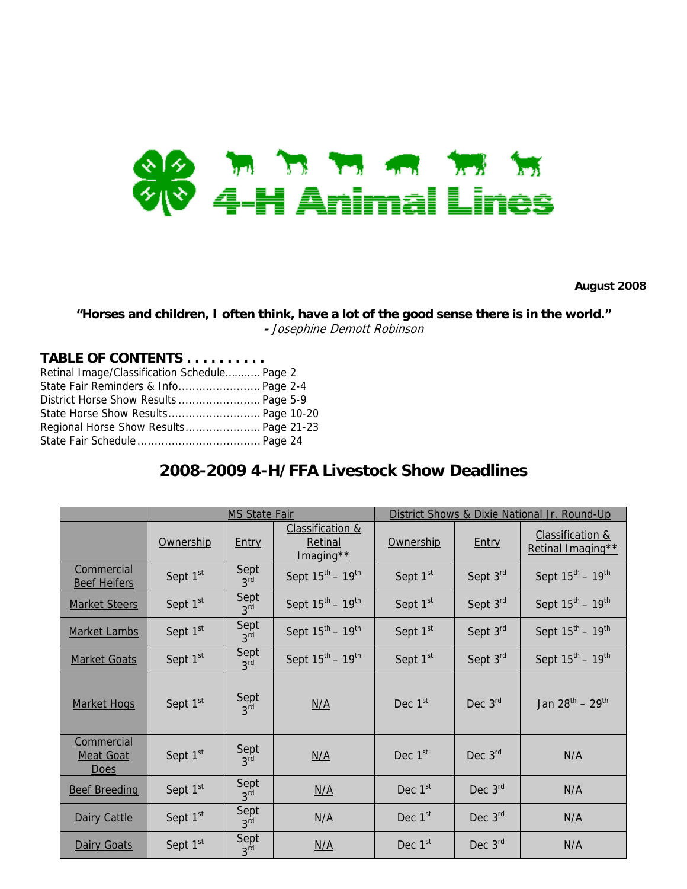

**August 2008** 

**"Horses and children, I often think, have a lot of the good sense there is in the world." -** Josephine Demott Robinson

## **TABLE OF CONTENTS . . . . . . . . . .**

| Retinal Image/Classification Schedule Page 2 |  |
|----------------------------------------------|--|
| State Fair Reminders & Info Page 2-4         |  |
| District Horse Show Results  Page 5-9        |  |
|                                              |  |
| Regional Horse Show Results Page 21-23       |  |
|                                              |  |

## **2008-2009 4-H/FFA Livestock Show Deadlines**

|                                               |                      | <b>MS State Fair</b>    |                                                       |                      | District Shows & Dixie National Jr. Round-Up |                                                  |
|-----------------------------------------------|----------------------|-------------------------|-------------------------------------------------------|----------------------|----------------------------------------------|--------------------------------------------------|
|                                               | Ownership            | Entry                   | <b>Classification &amp;</b><br>Retinal<br>$Imaging**$ | Ownership            | Entry                                        | <b>Classification &amp;</b><br>Retinal Imaging** |
| Commercial<br><b>Beef Heifers</b>             | Sept 1 <sup>st</sup> | Sept<br>3 <sup>rd</sup> | Sept $15^{\text{th}} - 19^{\text{th}}$                | Sept 1 <sup>st</sup> | Sept 3rd                                     | Sept $15^{\text{th}} - 19^{\text{th}}$           |
| <b>Market Steers</b>                          | Sept 1 <sup>st</sup> | Sept<br>3 <sup>rd</sup> | Sept $15^{\text{th}} - 19^{\text{th}}$                | Sept 1st             | Sept 3rd                                     | Sept $15^{th} - 19^{th}$                         |
| <b>Market Lambs</b>                           | Sept 1 <sup>st</sup> | Sept<br>3 <sup>rd</sup> | Sept $15^{th} - 19^{th}$                              | Sept 1st             | Sept 3rd                                     | Sept $15^{th} - 19^{th}$                         |
| <b>Market Goats</b>                           | Sept 1 <sup>st</sup> | Sept<br>3 <sup>rd</sup> | Sept $15^{\text{th}} - 19^{\text{th}}$                | Sept 1 <sup>st</sup> | Sept 3rd                                     | Sept $15^{th} - 19^{th}$                         |
| <b>Market Hogs</b>                            | Sept 1st             | Sept<br>3 <sup>rd</sup> | N/A                                                   | Dec $1st$            | Dec $3rd$                                    | Jan $28^{th} - 29^{th}$                          |
| Commercial<br><b>Meat Goat</b><br><b>Does</b> | Sept 1st             | Sept<br>3 <sup>rd</sup> | N/A                                                   | Dec 1 <sup>st</sup>  | Dec $3rd$                                    | N/A                                              |
| <b>Beef Breeding</b>                          | Sept 1st             | Sept<br>3 <sup>rd</sup> | N/A                                                   | Dec 1st              | Dec 3rd                                      | N/A                                              |
| Dairy Cattle                                  | Sept 1st             | Sept<br>3 <sup>rd</sup> | N/A                                                   | Dec 1st              | Dec 3rd                                      | N/A                                              |
| Dairy Goats                                   | Sept 1 <sup>st</sup> | Sept<br>3 <sup>rd</sup> | N/A                                                   | Dec 1 <sup>st</sup>  | Dec $3rd$                                    | N/A                                              |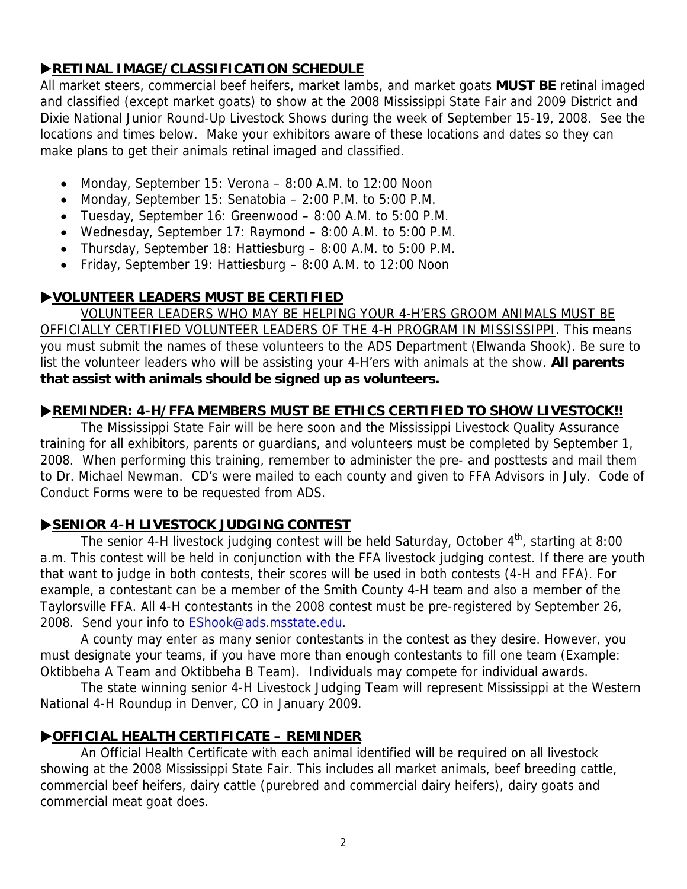## **EXAMPLE IMAGE/CLASSIFICATION SCHEDULE**

All market steers, commercial beef heifers, market lambs, and market goats **MUST BE** retinal imaged and classified (except market goats) to show at the 2008 Mississippi State Fair and 2009 District and Dixie National Junior Round-Up Livestock Shows during the week of September 15-19, 2008. See the locations and times below. Make your exhibitors aware of these locations and dates so they can make plans to get their animals retinal imaged and classified.

- Monday, September 15: Verona 8:00 A.M. to 12:00 Noon
- Monday, September 15: Senatobia 2:00 P.M. to 5:00 P.M.
- Tuesday, September 16: Greenwood 8:00 A.M. to 5:00 P.M.
- Wednesday, September 17: Raymond 8:00 A.M. to 5:00 P.M.
- Thursday, September 18: Hattiesburg 8:00 A.M. to 5:00 P.M.
- Friday, September 19: Hattiesburg 8:00 A.M. to 12:00 Noon

## X**VOLUNTEER LEADERS MUST BE CERTIFIED**

VOLUNTEER LEADERS WHO MAY BE HELPING YOUR 4-H'ERS GROOM ANIMALS MUST BE OFFICIALLY CERTIFIED VOLUNTEER LEADERS OF THE 4-H PROGRAM IN MISSISSIPPI. This means you must submit the names of these volunteers to the ADS Department (Elwanda Shook). Be sure to list the volunteer leaders who will be assisting your 4-H'ers with animals at the show. **All parents that assist with animals should be signed up as volunteers.**

## **EXAMINDER: 4-H/FFA MEMBERS MUST BE ETHICS CERTIFIED TO SHOW LIVESTOCK!!**

The Mississippi State Fair will be here soon and the Mississippi Livestock Quality Assurance training for all exhibitors, parents or guardians, and volunteers must be completed by September 1, 2008. When performing this training, remember to administer the pre- and posttests and mail them to Dr. Michael Newman. CD's were mailed to each county and given to FFA Advisors in July. Code of Conduct Forms were to be requested from ADS.

## **SENIOR 4-H LIVESTOCK JUDGING CONTEST**

The senior 4-H livestock judging contest will be held Saturday, October  $4<sup>th</sup>$ , starting at 8:00 a.m. This contest will be held in conjunction with the FFA livestock judging contest. If there are youth that want to judge in both contests, their scores will be used in both contests (4-H and FFA). For example, a contestant can be a member of the Smith County 4-H team and also a member of the Taylorsville FFA. All 4-H contestants in the 2008 contest must be pre-registered by September 26, 2008. Send your info to **EShook@ads.msstate.edu.** 

A county may enter as many senior contestants in the contest as they desire. However, you must designate your teams, if you have more than enough contestants to fill one team (Example: Oktibbeha A Team and Oktibbeha B Team). Individuals may compete for individual awards.

 The state winning senior 4-H Livestock Judging Team will represent Mississippi at the Western National 4-H Roundup in Denver, CO in January 2009.

## X**OFFICIAL HEALTH CERTIFICATE – REMINDER**

An Official Health Certificate with each animal identified will be required on all livestock showing at the 2008 Mississippi State Fair. This includes all market animals, beef breeding cattle, commercial beef heifers, dairy cattle (purebred and commercial dairy heifers), dairy goats and commercial meat goat does.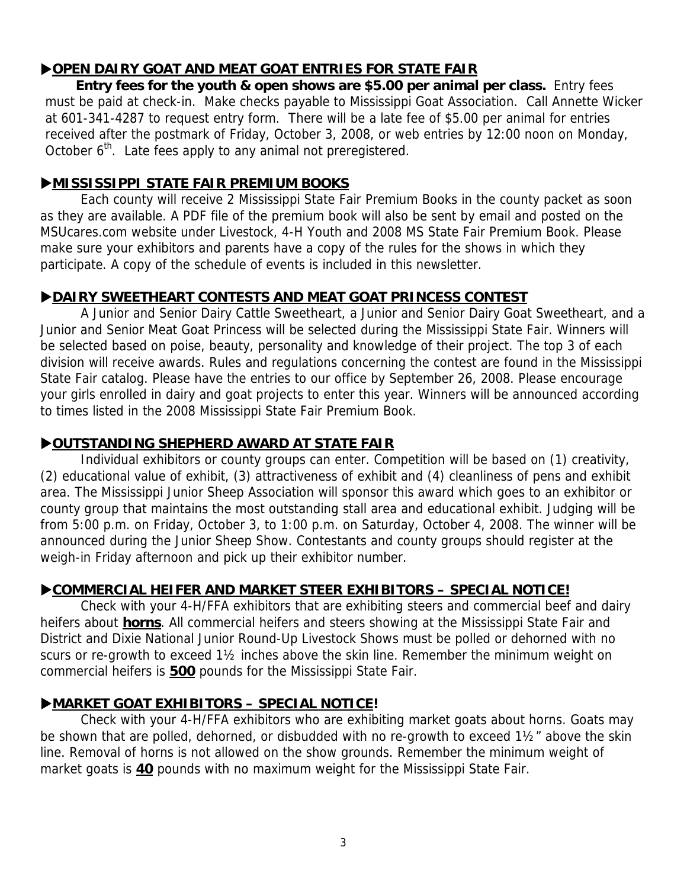## **DOPEN DAIRY GOAT AND MEAT GOAT ENTRIES FOR STATE FAIR**

**Entry fees for the youth & open shows are \$5.00 per animal per class.** Entry fees must be paid at check-in. Make checks payable to Mississippi Goat Association. Call Annette Wicker at 601-341-4287 to request entry form. There will be a late fee of \$5.00 per animal for entries received after the postmark of Friday, October 3, 2008, or web entries by 12:00 noon on Monday, October 6<sup>th</sup>. Late fees apply to any animal not preregistered.

## X**MISSISSIPPI STATE FAIR PREMIUM BOOKS**

Each county will receive 2 Mississippi State Fair Premium Books in the county packet as soon as they are available. A PDF file of the premium book will also be sent by email and posted on the MSUcares.com website under Livestock, 4-H Youth and 2008 MS State Fair Premium Book. Please make sure your exhibitors and parents have a copy of the rules for the shows in which they participate. A copy of the schedule of events is included in this newsletter.

## X**DAIRY SWEETHEART CONTESTS AND MEAT GOAT PRINCESS CONTEST**

A Junior and Senior Dairy Cattle Sweetheart, a Junior and Senior Dairy Goat Sweetheart, and a Junior and Senior Meat Goat Princess will be selected during the Mississippi State Fair. Winners will be selected based on poise, beauty, personality and knowledge of their project. The top 3 of each division will receive awards. Rules and regulations concerning the contest are found in the Mississippi State Fair catalog. Please have the entries to our office by September 26, 2008. Please encourage your girls enrolled in dairy and goat projects to enter this year. Winners will be announced according to times listed in the 2008 Mississippi State Fair Premium Book.

## X**OUTSTANDING SHEPHERD AWARD AT STATE FAIR**

Individual exhibitors or county groups can enter. Competition will be based on (1) creativity, (2) educational value of exhibit, (3) attractiveness of exhibit and (4) cleanliness of pens and exhibit area. The Mississippi Junior Sheep Association will sponsor this award which goes to an exhibitor or county group that maintains the most outstanding stall area and educational exhibit. Judging will be from 5:00 p.m. on Friday, October 3, to 1:00 p.m. on Saturday, October 4, 2008. The winner will be announced during the Junior Sheep Show. Contestants and county groups should register at the weigh-in Friday afternoon and pick up their exhibitor number.

## X**COMMERCIAL HEIFER AND MARKET STEER EXHIBITORS – SPECIAL NOTICE!**

Check with your 4-H/FFA exhibitors that are exhibiting steers and commercial beef and dairy heifers about **horns**. All commercial heifers and steers showing at the Mississippi State Fair and District and Dixie National Junior Round-Up Livestock Shows must be polled or dehorned with no scurs or re-growth to exceed 1½ inches above the skin line. Remember the minimum weight on commercial heifers is **500** pounds for the Mississippi State Fair.

## X**MARKET GOAT EXHIBITORS – SPECIAL NOTICE!**

Check with your 4-H/FFA exhibitors who are exhibiting market goats about horns. Goats may be shown that are polled, dehorned, or disbudded with no re-growth to exceed 1½" above the skin line. Removal of horns is not allowed on the show grounds. Remember the minimum weight of market goats is **40** pounds with no maximum weight for the Mississippi State Fair.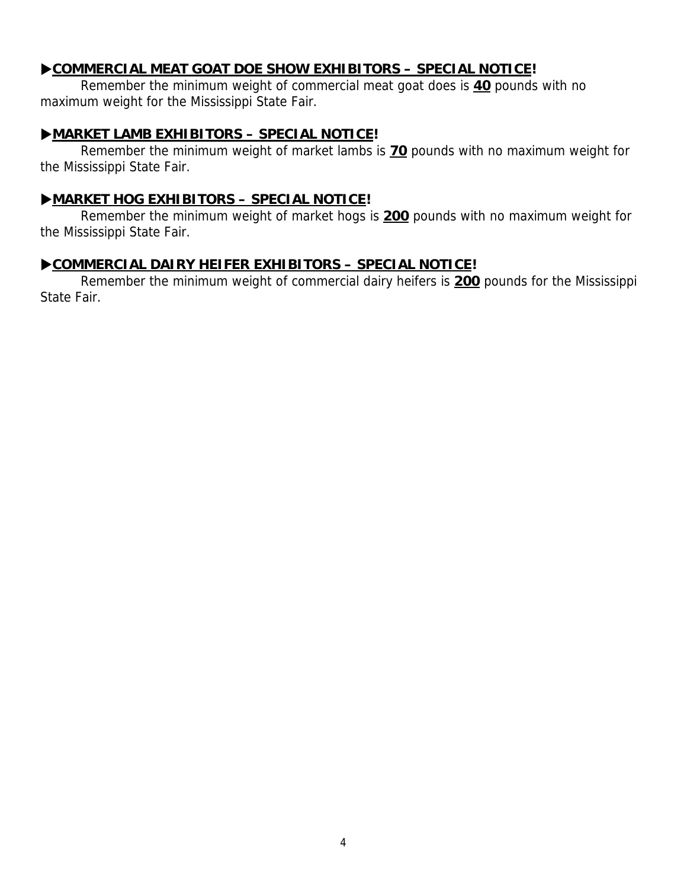## $\blacktriangleright$  COMMERCIAL MEAT GOAT DOE SHOW EXHIBITORS – SPECIAL NOTICE!

Remember the minimum weight of commercial meat goat does is **40** pounds with no maximum weight for the Mississippi State Fair.

## X**MARKET LAMB EXHIBITORS – SPECIAL NOTICE!**

Remember the minimum weight of market lambs is **70** pounds with no maximum weight for the Mississippi State Fair.

## X**MARKET HOG EXHIBITORS – SPECIAL NOTICE!**

Remember the minimum weight of market hogs is **200** pounds with no maximum weight for the Mississippi State Fair.

## X**COMMERCIAL DAIRY HEIFER EXHIBITORS – SPECIAL NOTICE!**

Remember the minimum weight of commercial dairy heifers is **200** pounds for the Mississippi State Fair.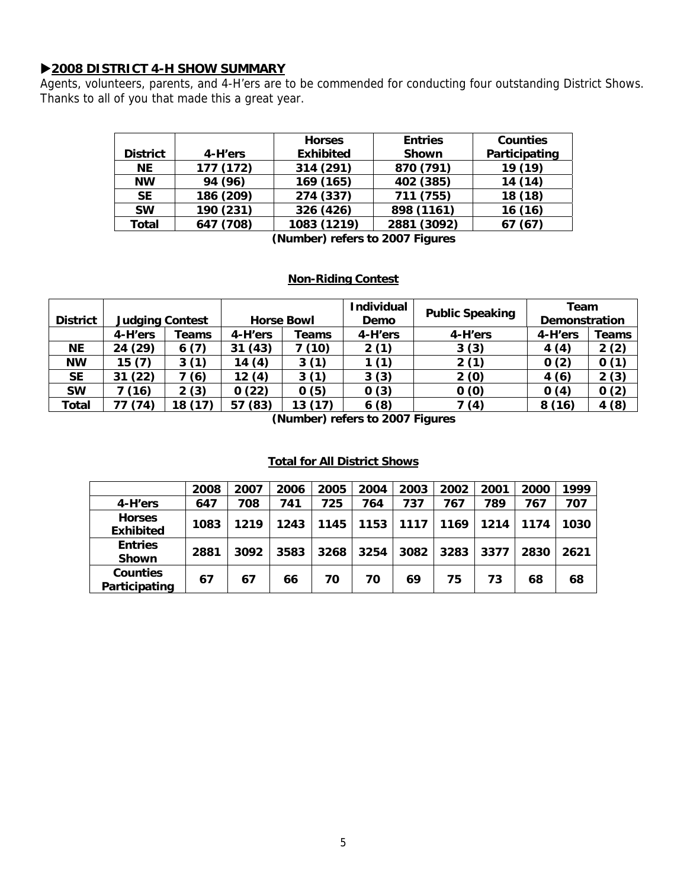## X**2008 DISTRICT 4-H SHOW SUMMARY**

Agents, volunteers, parents, and 4-H'ers are to be commended for conducting four outstanding District Shows. Thanks to all of you that made this a great year.

|                 |           | <b>Horses</b>    | <b>Entries</b> | <b>Counties</b> |
|-----------------|-----------|------------------|----------------|-----------------|
| <b>District</b> | 4-H'ers   | <b>Exhibited</b> | <b>Shown</b>   | Participating   |
| <b>NE</b>       | 177 (172) | 314 (291)        | 870 (791)      | 19 (19)         |
| <b>NW</b>       | 94 (96)   | 169 (165)        | 402 (385)      | 14(14)          |
| <b>SE</b>       | 186 (209) | 274 (337)        | 711 (755)      | 18 (18)         |
| <b>SW</b>       | 190 (231) | 326 (426)        | 898 (1161)     | 16(16)          |
| Total           | 647 (708) | 1083 (1219)      | 2881 (3092)    | (67)            |

**(Number) refers to 2007 Figures** 

### **Non-Riding Contest**

|                 |         |                        |            | <b>Individual</b>       |         | Team                   |                      |       |
|-----------------|---------|------------------------|------------|-------------------------|---------|------------------------|----------------------|-------|
| <b>District</b> |         | <b>Judging Contest</b> |            | <b>Horse Bowl</b>       |         | <b>Public Speaking</b> | <b>Demonstration</b> |       |
|                 | 4-H'ers | Teams                  | 4-H'ers    | Teams                   | 4-H'ers | 4-H'ers                | 4-H'ers              | Teams |
| ΝE              | 24 (29) | 6(7)                   | (43)<br>31 | (10)                    | 2(1)    | 3(3)                   | 4(4)                 | 2(2)  |
| <b>NW</b>       | 15(7)   | 3(1)                   | 14(4)      | 3(1)                    | 1 (1)   | 2(1)                   | 0(2)                 | 0(1)  |
| <b>SE</b>       | 31(22)  | 7(6)                   | 12(4)      | 3(1)                    | 3(3)    | 2(0)                   | 4(6)                 | 2(3)  |
| <b>SW</b>       | 7 (16)  | 2(3)                   | 0(22)      | 0(5)                    | 0(3)    | 0(0)                   | 0(4)                 | 0(2)  |
| Total           | (74)    | 18                     | (83)<br>57 | (17)<br>13 <sub>1</sub> | 6(8)    | 7 (4)                  | 8(16)                | 4(8)  |

**(Number) refers to 2007 Figures** 

### **Total for All District Shows**

|                                   | 2008 | 2007 | 2006 | 2005 | 2004 | 2003 | 2002 | 2001 | 2000 | 1999 |
|-----------------------------------|------|------|------|------|------|------|------|------|------|------|
| 4-H'ers                           | 647  | 708  | 741  | 725  | 764  | 737  | 767  | 789  | 767  | 707  |
| <b>Horses</b><br><b>Exhibited</b> | 1083 | 1219 | 1243 | 1145 | 1153 | 1117 | 1169 | 1214 | 1174 | 1030 |
| <b>Entries</b><br><b>Shown</b>    | 2881 | 3092 | 3583 | 3268 | 3254 | 3082 | 3283 | 3377 | 2830 | 2621 |
| <b>Counties</b><br>Participating  | 67   | 67   | 66   | 70   | 70   | 69   | 75   | 73   | 68   | 68   |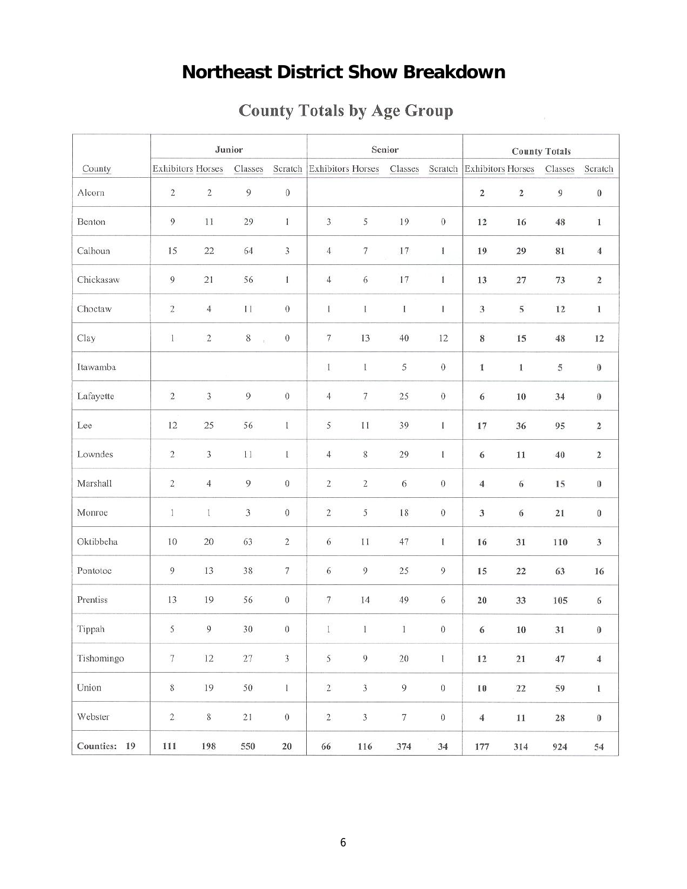# **Northeast District Show Breakdown**

|              |                          |                             | Junior         |                  |                          |                         | Senior  |                  | <b>County Totals</b>      |             |                |                  |
|--------------|--------------------------|-----------------------------|----------------|------------------|--------------------------|-------------------------|---------|------------------|---------------------------|-------------|----------------|------------------|
| County       | <b>Exhibitors Horses</b> |                             | Classes        | Scratch          | <b>Exhibitors Horses</b> |                         | Classes | Scratch          | <b>Exhibitors Horses</b>  |             | Classes        | Scratch          |
| Alcorn       | $\sqrt{2}$               | $\mathbf 2$                 | $\overline{9}$ | $\boldsymbol{0}$ |                          |                         |         |                  | $\mathbf 2$               | $\mathbf 2$ | $\overline{9}$ | $\boldsymbol{0}$ |
| Benton       | $\mathbf{9}$             | 11                          | 29             | 1                | $\overline{3}$           | 5                       | 19      | $\boldsymbol{0}$ | 12                        | 16          | 48             | $\,1$            |
| Calhoun      | 15                       | $22\,$                      | 64             | 3                | $\overline{4}$           | 7                       | $17\,$  | 1                | 19                        | 29          | 81             | $\sqrt{4}$       |
| Chickasaw    | 9                        | 21                          | 56             | 1                | $\overline{4}$           | 6                       | $17\,$  | $\mathbf{1}$     | 13                        | $27\,$      | 73             | $\boldsymbol{2}$ |
| Choctaw      | $\overline{c}$           | $\overline{4}$              | $11\,$         | $\boldsymbol{0}$ | $\,1$                    | $\,$ I                  | $\,$ I  | $\bf{l}$         | $\ensuremath{\mathsf{3}}$ | 5           | 12             | $\,1\,$          |
| Clay         | $\mathbf{I}$             | $\sqrt{2}$                  | $8\,$<br>Ŷ.    | $\,0\,$          | $\tau$                   | 13                      | 40      | 12               | $\bf 8$                   | 15          | 48             | 12               |
| Itawamba     |                          |                             |                |                  | $\mathbf{I}$             | $\mathbf{I}$            | 5       | $\,0\,$          | $\mathbf{1}$              | $1\,$       | 5              | $\pmb{0}$        |
| Lafayette    | $\sqrt{2}$               | $\ensuremath{\mathfrak{Z}}$ | $\overline{9}$ | $\overline{0}$   | $\overline{4}$           | $\overline{7}$          | $25\,$  | $\boldsymbol{0}$ | $\sqrt{6}$                | $10$        | 34             | $\pmb{0}$        |
| Lee          | 12                       | 25                          | 56             | $\mathbf{I}$     | 5                        | $1\,1$                  | 39      | 1                | $17\,$                    | 36          | 95             | $\mathbf 2$      |
| Lowndes      | $\sqrt{2}$               | $\overline{3}$              | $11\,$         | $\mathbf{I}$     | $\overline{4}$           | 8                       | 29      | $\,$ I           | $\sqrt{6}$                | 11          | 40             | $\,2$            |
| Marshall     | $\overline{c}$           | $\overline{4}$              | $\overline{9}$ | $\,0\,$          | $\sqrt{2}$               | $\overline{\mathbf{c}}$ | 6       | $\boldsymbol{0}$ | $\overline{4}$            | $\sqrt{6}$  | 15             | $\pmb{0}$        |
| Monroe       | $\,1\,$                  | $\mathbf{1}$                | $\sqrt{3}$     | $\boldsymbol{0}$ | $\sqrt{2}$               | 5                       | $18\,$  | $\boldsymbol{0}$ | $\overline{\mathbf{3}}$   | 6           | 21             | $\boldsymbol{0}$ |
| Oktibbeha    | $10\,$                   | $20\,$                      | 63             | $\sqrt{2}$       | $\sqrt{6}$               | $11\,$                  | $47\,$  | 1                | 16                        | $31\,$      | 110            | $\sqrt{3}$       |
| Pontotoc     | 9                        | 13                          | 38             | $\boldsymbol{7}$ | $\sqrt{6}$               | 9                       | 25      | $\overline{9}$   | 15                        | 22          | 63             | 16               |
| Prentiss     | 13                       | 19                          | 56             | $\boldsymbol{0}$ | $\boldsymbol{7}$         | 14                      | 49      | 6                | $20\,$                    | 33          | 105            | 6                |
| Tippah       | 5                        | 9                           | 30             | $\boldsymbol{0}$ | $\mathbf{I}$             | $\mathbf{I}$            | $\,$ I  | $\boldsymbol{0}$ | 6                         | $10$        | 31             | $\boldsymbol{0}$ |
| Tishomingo   | $\overline{\tau}$        | $12\,$                      | $27\,$         | $\overline{3}$   | 5                        | $\overline{9}$          | $20\,$  | $\,1$            | 12                        | $\bf 21$    | $47\,$         | $\sqrt{4}$       |
| Union        | $\,$ 8 $\,$              | 19                          | 50             | $\bar{1}$        | $\overline{2}$           | $\overline{3}$          | 9       | $\,0$            | $10\,$                    | $\bf 22$    | 59             | $\bf 1$          |
| Webster      | $\sqrt{2}$               | $8\,$                       | $21\,$         | $\,0\,$          | $\sqrt{2}$               | $\mathfrak{Z}$          | $\tau$  | $\,0\,$          | $\overline{4}$            | $11\,$      | $\sqrt{28}$    | $\pmb{0}$        |
| Counties: 19 | 111                      | 198                         | 550            | ${\bf 20}$       | 66                       | 116                     | 374     | 34               | $177\,$                   | 314         | 924            | 54               |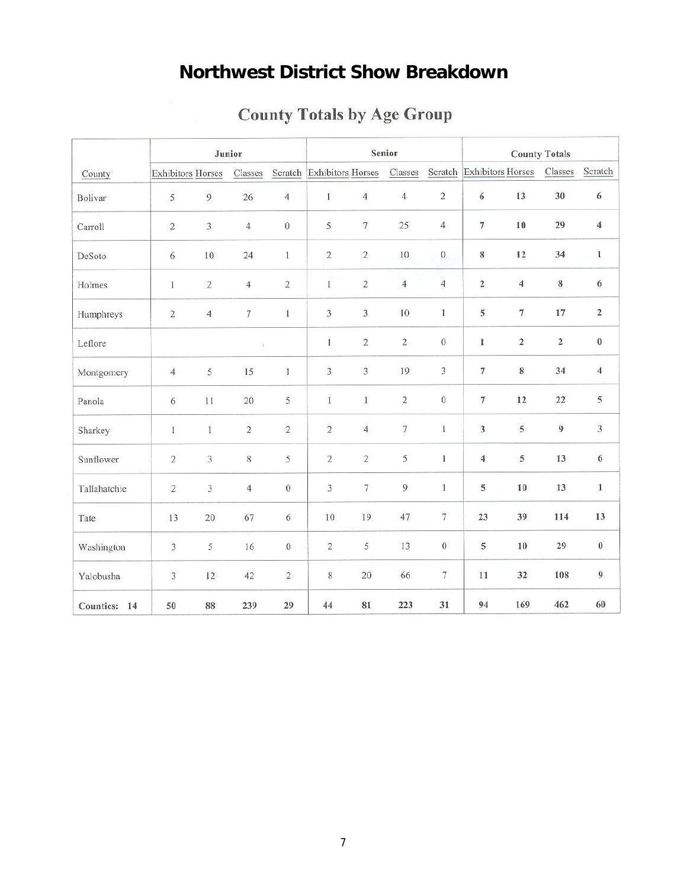# **Northwest District Show Breakdown**

|              |                          |                | Junior            |                  |                           |                | Senior            |                   |                          | <b>County Totals</b> |                |                  |  |
|--------------|--------------------------|----------------|-------------------|------------------|---------------------------|----------------|-------------------|-------------------|--------------------------|----------------------|----------------|------------------|--|
| County       | <b>Exhibitors Horses</b> |                | Classes           |                  | Scratch Exhibitors Horses |                | Classes           | Scratch           | <b>Exhibitors Horses</b> |                      | Classes        | Scratch          |  |
| Bolivar      | 5                        | $\overline{9}$ | 26                | $\overline{4}$   | $\mathbf{I}$              | $\overline{4}$ | $\overline{4}$    | $\sqrt{2}$        | $\boldsymbol{6}$         | 13                   | 30             | 6                |  |
| Carroll      | $\sqrt{2}$               | $\overline{3}$ | $\overline{4}$    | $\boldsymbol{0}$ | 5                         | $\tau$         | 25                | $\overline{4}$    | $\overline{\tau}$        | 10                   | 29             | $\overline{4}$   |  |
| DeSoto       | $6\,$                    | 10             | 24                | $\mathbf{1}$     | $\,2$                     | $\sqrt{2}$     | $10\,$            | $\,0\,$           | 8                        | 12                   | 34             | $1\,$            |  |
| Holmes       | $\mathbf{1}$             | $\sqrt{2}$     | $\overline{4}$    | $\overline{2}$   | $\mathbf{1}$              | $\overline{c}$ | $\overline{4}$    | $\overline{4}$    | $\overline{2}$           | $\overline{4}$       | $\bf 8$        | $\sqrt{6}$       |  |
| Humphreys    | $\,2$                    | $\overline{4}$ | $\overline{\tau}$ | $\mathbf I$      | $\overline{3}$            | 3              | 10                | $\mathbf{1}$      | $\lesssim$               | $\tau$               | 17             | $\mathbf 2$      |  |
| Leflore      |                          |                | l)                |                  | $\mathbf{I}$              | $\sqrt{2}$     | $\sqrt{2}$        | $\boldsymbol{0}$  | 1                        | $\sqrt{2}$           | $\sqrt{2}$     | $\bf{0}$         |  |
| Montgomery   | $\overline{4}$           | 5              | 15                | $\mathbf{1}$     | $\overline{3}$            | $\overline{3}$ | 19                | 3                 | 7                        | $\,$ 8 $\,$          | 34             | $\overline{4}$   |  |
| Panola       | 6                        | $11\,$         | $20\,$            | 5                | $\bar{1}$                 | $\mathbf{1}$   | $\mathbf 2$       | $\boldsymbol{0}$  | $\overline{\tau}$        | 12                   | 22             | $\,$ 5 $\,$      |  |
| Sharkey      | $\,1\,$                  | $\mathbf{I}$   | $\bar{2}$         | $\,2$            | $\sqrt{2}$                | $\overline{4}$ | $\overline{\tau}$ | $\mathbf{1}$      | $\overline{\mathbf{3}}$  | 5                    | $\overline{9}$ | $\overline{3}$   |  |
| Sunflower    | $\overline{2}$           | 3              | $\,8$             | 5                | $\overline{c}$            | $\overline{c}$ | 5                 | $\mathbf{1}$      | $\overline{4}$           | $\mathfrak s$        | 13             | $\sqrt{6}$       |  |
| Tallahatchie | $\sqrt{2}$               | 3              | $\overline{4}$    | $\,0$            | 3                         | $\tau$         | 9                 | $\mathbf{1}$      | 5                        | $10\,$               | 13             | $1\,$            |  |
| Tate         | 13                       | 20             | 67                | 6                | $10\,$                    | 19             | 47                | $\overline{\tau}$ | 23                       | 39                   | 114            | 13               |  |
| Washington   | $\mathfrak{Z}$           | 5              | 16                | $\boldsymbol{0}$ | $\sqrt{2}$                | 5              | 13                | $\boldsymbol{0}$  | 5                        | $10$                 | 29             | $\boldsymbol{0}$ |  |
| Yalobusha    | $\overline{3}$           | 12             | 42                | $\overline{2}$   | 8                         | 20             | 66                | $\tau$            | 11                       | 32                   | 108            | $\overline{9}$   |  |
| Counties: 14 | 50                       | 88             | 239               | 29               | 44                        | 81             | 223               | 31                | 94                       | 169                  | 462            | 60               |  |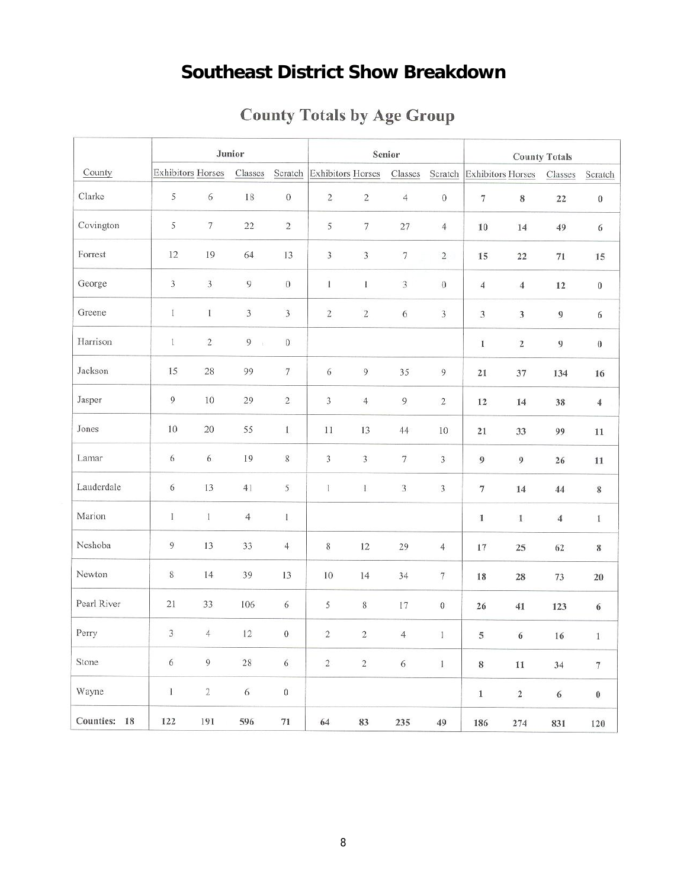# **Southeast District Show Breakdown**

|              |                          |                | Junior                         |                         |                          |                   | Senior                      |                             | <b>County Totals</b>      |                             |                  |                          |
|--------------|--------------------------|----------------|--------------------------------|-------------------------|--------------------------|-------------------|-----------------------------|-----------------------------|---------------------------|-----------------------------|------------------|--------------------------|
| County       | <b>Exhibitors Horses</b> |                | Classes                        | Scratch                 | <b>Exhibitors Horses</b> |                   | Classes                     | Scratch                     |                           | <b>Exhibitors Horses</b>    | Classes          | Scratch                  |
| Clarke       | 5                        | $\sqrt{6}$     | $18\,$                         | $\boldsymbol{0}$        | $\sqrt{2}$               | $\,2$             | $\overline{4}$              | $\,0\,$                     | $\boldsymbol{7}$          | $\,$ 8 $\,$                 | $22\,$           | $\boldsymbol{0}$         |
| Covington    | 5                        | $\tau$         | 22                             | $\sqrt{2}$              | 5                        | $\overline{\tau}$ | $27\,$                      | $\overline{4}$              | $10\,$                    | 14                          | 49               | 6                        |
| Forrest      | $12 \,$                  | 19             | 64                             | 13                      | $\mathfrak{Z}$           | 3                 | $\boldsymbol{7}$            | $\sqrt{2}$                  | 15                        | $22\,$                      | $71\,$           | 15                       |
| George       | $\overline{\mathbf{3}}$  | $\overline{3}$ | 9                              | $\boldsymbol{0}$        | $\,$ I                   | I.                | $\ensuremath{\mathfrak{Z}}$ | $\boldsymbol{0}$            | $\overline{\mathcal{A}}$  | $\overline{4}$              | $12\,$           | $\boldsymbol{0}$         |
| Greene       | $\mathbf{I}$             | $\bf{I}$       | 3                              | $\overline{\mathbf{3}}$ | $\,2$                    | $\sqrt{2}$        | $\sqrt{6}$                  | $\sqrt{3}$                  | $\ensuremath{\mathbf{3}}$ | $\ensuremath{\mathfrak{Z}}$ | $\boldsymbol{9}$ | 6                        |
| Harrison     | $\mathbf{1}$             | $\sqrt{2}$     | $\overline{9}$<br>$\mathbf{E}$ | $\boldsymbol{0}$        |                          |                   |                             |                             | $\mathbf 1$               | $\mathbf 2$                 | $\boldsymbol{9}$ | $\boldsymbol{0}$         |
| Jackson      | 15                       | $28\,$         | 99                             | $\tau$                  | 6                        | $\overline{9}$    | 35                          | 9                           | 21                        | 37                          | 134              | 16                       |
| Jasper       | $\overline{9}$           | $10\,$         | 29                             | $\sqrt{2}$              | $\overline{3}$           | $\overline{4}$    | $\overline{9}$              | $\sqrt{2}$                  | $12\,$                    | 14                          | 38               | $\overline{4}$           |
| Jones        | 10                       | 20             | 55                             | $1\,$                   | $11\,$                   | 13                | 44                          | $10\,$                      | $\mathbf{21}$             | 33                          | 99               | $11\,$                   |
| Lamar        | 6                        | 6              | 19                             | $\,$ 8 $\,$             | 3                        | 3                 | $\boldsymbol{7}$            | $\sqrt{3}$                  | $\boldsymbol{9}$          | 9                           | 26               | 11                       |
| Lauderdale   | 6                        | 13             | 41                             | $\sqrt{5}$              | 1                        | $\,1$             | $\mathfrak{Z}$              | $\ensuremath{\mathfrak{Z}}$ | $\boldsymbol{7}$          | 14                          | 44               | $\,$ 8 $\,$              |
| Marion       | $\bar{I}$                | $\,$ $\,$      | $\sqrt{4}$                     | $\bf{l}$                |                          |                   |                             |                             | $\mathbbm{1}$             | $\bf{1}$                    | $\overline{4}$   | $1\,$                    |
| Neshoba      | 9                        | 13             | 33                             | $\sqrt{4}$              | $\,$ 8 $\,$              | 12                | 29                          | $\overline{4}$              | $17\,$                    | 25                          | 62               | $\bf 8$                  |
| Newton       | $\,$ 8 $\,$              | 14             | 39                             | 13                      | 10                       | 14                | 34                          | 7                           | 18                        | 28                          | 73               | $20\,$                   |
| Pearl River  | 21                       | 33             | 106                            | 6                       | 5                        | $\,$ 8 $\,$       | 17                          | $\boldsymbol{0}$            | 26                        | 41                          | 123              | $\sqrt{6}$               |
| Perry        | 3                        | $\overline{4}$ | 12                             | $\boldsymbol{0}$        | $\sqrt{2}$               | $\sqrt{2}$        | $\overline{\mathcal{A}}$    | 1                           | 5                         | $\sqrt{6}$                  | 16               | $\mathbf 1$              |
| Stone        | $\sqrt{6}$               | $\overline{9}$ | $\sqrt{28}$                    | $\sqrt{6}$              | $\sqrt{2}$               | $\sqrt{2}$        | $\sqrt{6}$                  | $1\,$                       | $\bf 8$                   | $11\,$                      | 34               | $\overline{\mathcal{I}}$ |
| Wayne        | $\,1$                    | $\sqrt{2}$     | $\sqrt{6}$                     | $\boldsymbol{0}$        |                          |                   |                             |                             | $\,1$                     | $\mathbf 2$                 | $\sqrt{6}$       | $\pmb{0}$                |
| Counties: 18 | 122                      | 191            | 596                            | $71\,$                  | 64                       | 83                | 235                         | 49                          | 186                       | 274                         | 831              | 120                      |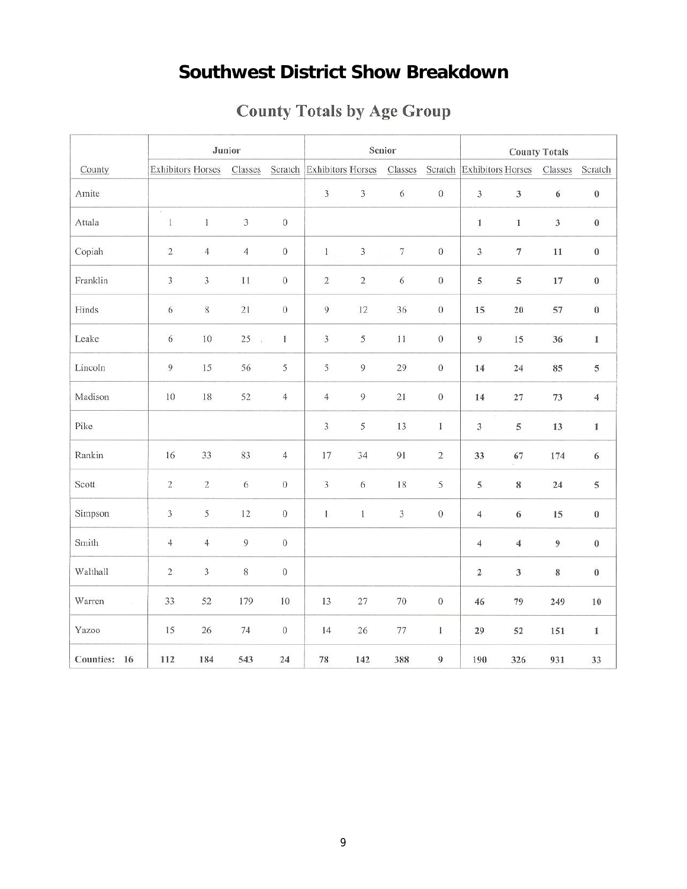# **Southwest District Show Breakdown**

|                        |                             | Junior                   |                 |                  |                           |                | Senior     |                  |                         | <b>County Totals</b>      |                           |                  |  |
|------------------------|-----------------------------|--------------------------|-----------------|------------------|---------------------------|----------------|------------|------------------|-------------------------|---------------------------|---------------------------|------------------|--|
| County                 |                             | <b>Exhibitors Horses</b> | Classes         |                  | Scratch Exhibitors Horses |                | Classes    | Scratch          | Exhibitors Horses       |                           | Classes                   | Scratch          |  |
| Amite                  |                             |                          |                 |                  | $\sqrt{3}$                | $\overline{3}$ | $\sqrt{6}$ | $\boldsymbol{0}$ | $\overline{\mathbf{3}}$ | $\mathbf{3}$              | $\sqrt{6}$                | $\boldsymbol{0}$ |  |
| Attala                 | ¥<br>$\,1$                  | 1                        | $\overline{3}$  | $\boldsymbol{0}$ |                           |                |            |                  | 1                       | $\,$ 1                    | $\ensuremath{\mathbf{3}}$ | $\boldsymbol{0}$ |  |
| Copiah                 | $\sqrt{2}$                  | $\overline{4}$           | $\overline{4}$  | $\boldsymbol{0}$ | $\,1$                     | 3              | $\tau$     | $\boldsymbol{0}$ | $\mathbf{3}$            | $\tau$                    | $11\,$                    | $\boldsymbol{0}$ |  |
| Franklin               | $\sqrt{3}$                  | $\sqrt{3}$               | $11\,$          | $\,0\,$          | $\sqrt{2}$                | $\,2\,$        | $\sqrt{6}$ | $\,0$            | 5                       | 5                         | 17                        | $\boldsymbol{0}$ |  |
| Hinds                  | $\sqrt{6}$                  | $\,8\,$                  | 21              | $\overline{0}$   | $\overline{9}$            | $12\,$         | 36         | $\boldsymbol{0}$ | 15                      | 20                        | 57                        | $\boldsymbol{0}$ |  |
| Leake                  | $\sqrt{6}$                  | $10\,$                   | 25<br>$\vec{E}$ | $\mathbf{I}$     | $\overline{3}$            | 5              | $11\,$     | $\boldsymbol{0}$ | $\boldsymbol{9}$        | 15                        | 36                        | $\mathbf 1$      |  |
| Lincoln                | $\boldsymbol{9}$            | 15                       | 56              | 5                | 5                         | $\overline{9}$ | 29         | $\boldsymbol{0}$ | 14                      | 24                        | 85                        | 5                |  |
| Madison                | $10\,$                      | $18\,$                   | 52              | $\overline{4}$   | $\overline{4}$            | 9              | 21         | $\,0$            | $14\,$                  | $27\,$                    | 73                        | $\overline{4}$   |  |
| Pike                   |                             |                          |                 |                  | $\overline{3}$            | 5              | 13         | $\,$ $\,$        | $\overline{\mathbf{3}}$ | 5                         | 13                        | $\mathbf{1}$     |  |
| Rankin                 | 16                          | 33                       | 83              | $\overline{4}$   | $17\,$                    | 34             | 91         | $\sqrt{2}$       | 33                      | 67                        | 174                       | $\sqrt{6}$       |  |
| Scott                  | $\sqrt{2}$                  | $\sqrt{2}$               | 6               | $\,0\,$          | $\overline{3}$            | 6              | 18         | 5                | $\,$ 5                  | $\bf 8$                   | 24                        | 5                |  |
| Simpson                | $\ensuremath{\mathfrak{Z}}$ | 5                        | 12              | $\,0\,$          | $\mathbf{I}$              | 1              | 3          | $\boldsymbol{0}$ | $\boldsymbol{4}$        | 6                         | 15                        | $\boldsymbol{0}$ |  |
| Smith                  | $\overline{4}$              | $\overline{4}$           | 9               | $\overline{0}$   |                           |                |            |                  | $\sqrt{4}$              | $\boldsymbol{4}$          | $\boldsymbol{9}$          | $\boldsymbol{0}$ |  |
| Walthall               | $\sqrt{2}$                  | $\sqrt{3}$               | $\,$ 8 $\,$     | $\,0\,$          |                           |                |            |                  | $\mathbf 2$             | $\ensuremath{\mathbf{3}}$ | $\,$ 8 $\,$               | $\pmb{0}$        |  |
| Warren                 | 33                          | 52                       | 179             | 10               | 13                        | 27             | $70\,$     | $\boldsymbol{0}$ | 46                      | 79                        | 249                       | 10               |  |
| Yazoo                  | 15                          | 26                       | 74              | $\,0\,$          | 14                        | $26\,$         | $77\,$     | $\mathbf I$      | 29                      | 52                        | 151                       | $\mathbf 1$      |  |
| <b>Counties:</b><br>16 | 112                         | 184                      | 543             | 24               | 78                        | 142            | 388        | $\overline{9}$   | 190                     | 326                       | 931                       | 33               |  |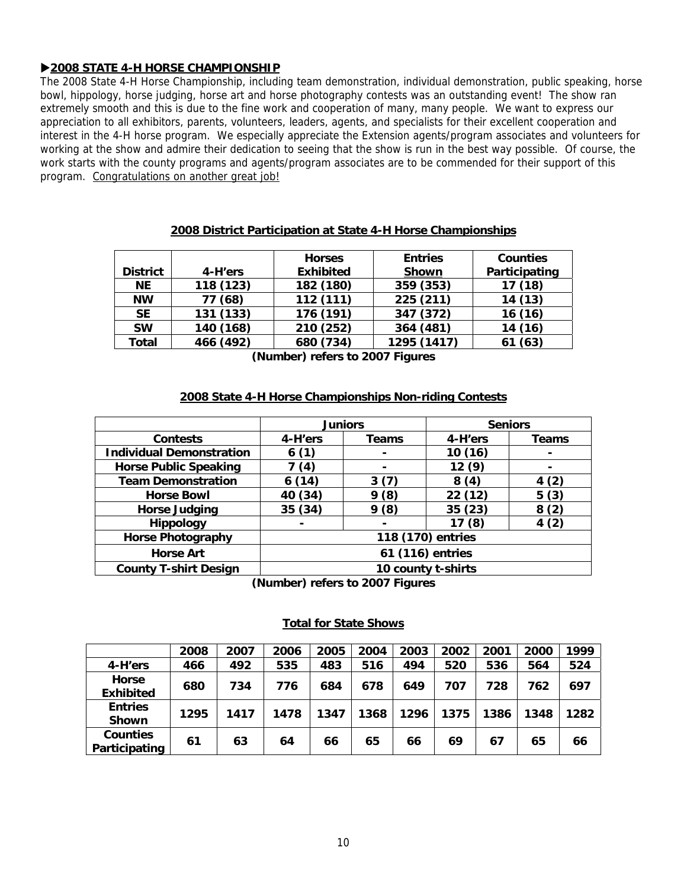## X**2008 STATE 4-H HORSE CHAMPIONSHIP**

The 2008 State 4-H Horse Championship, including team demonstration, individual demonstration, public speaking, horse bowl, hippology, horse judging, horse art and horse photography contests was an outstanding event! The show ran extremely smooth and this is due to the fine work and cooperation of many, many people. We want to express our appreciation to all exhibitors, parents, volunteers, leaders, agents, and specialists for their excellent cooperation and interest in the 4-H horse program. We especially appreciate the Extension agents/program associates and volunteers for working at the show and admire their dedication to seeing that the show is run in the best way possible. Of course, the work starts with the county programs and agents/program associates are to be commended for their support of this program. Congratulations on another great job!

|                 |           | <b>Horses</b>    | <b>Entries</b> | <b>Counties</b> |
|-----------------|-----------|------------------|----------------|-----------------|
| <b>District</b> | 4-H'ers   | <b>Exhibited</b> | <b>Shown</b>   | Participating   |
| <b>NE</b>       | 118 (123) | 182 (180)        | 359 (353)      | 17(18)          |
| <b>NW</b>       | 77 (68)   | 112 (111)        | 225 (211)      | 14(13)          |
| <b>SE</b>       | 131 (133) | 176 (191)        | 347 (372)      | 16(16)          |
| <b>SW</b>       | 140 (168) | 210 (252)        | 364 (481)      | 14 (16)         |
| <b>Total</b>    | 466 (492) | 680 (734)        | 1295 (1417)    | 61 (63)         |

### **2008 District Participation at State 4-H Horse Championships**

**(Number) refers to 2007 Figures** 

### **2008 State 4-H Horse Championships Non-riding Contests**

|                                 | <b>Juniors</b>                                                          |                | <b>Seniors</b>    |                |  |  |  |
|---------------------------------|-------------------------------------------------------------------------|----------------|-------------------|----------------|--|--|--|
| <b>Contests</b>                 | 4-H'ers                                                                 | Teams          | 4-H'ers           | Teams          |  |  |  |
| <b>Individual Demonstration</b> | 6(1)                                                                    | $\blacksquare$ | 10(16)            | $\blacksquare$ |  |  |  |
| <b>Horse Public Speaking</b>    | (4)                                                                     | $\blacksquare$ | 12(9)             |                |  |  |  |
| <b>Team Demonstration</b>       | 6(14)                                                                   | 3(7)           | 8(4)              | 4(2)           |  |  |  |
| <b>Horse Bowl</b>               | 40 (34)                                                                 | 9(8)           | 22 (12)           | 5(3)           |  |  |  |
| <b>Horse Judging</b>            | 35 (34)                                                                 | 9(8)           | 35 (23)           | 8(2)           |  |  |  |
| Hippology                       |                                                                         |                | 17 (8)            | 4(2)           |  |  |  |
| <b>Horse Photography</b>        |                                                                         |                | 118 (170) entries |                |  |  |  |
| <b>Horse Art</b>                | 61 (116) entries                                                        |                |                   |                |  |  |  |
| <b>County T-shirt Design</b>    | 10 county t-shirts                                                      |                |                   |                |  |  |  |
|                                 | $\{N_1, \ldots, N_n\}$ us fans to $\{O\}$ $\mathbb{R}^n$ $\mathbb{R}^n$ |                |                   |                |  |  |  |

**(Number) refers to 2007 Figures** 

### **Total for State Shows**

|                                  | 2008 | 2007 | 2006 | 2005 | 2004 | 2003 | 2002 | 2001 | 2000 | 1999 |
|----------------------------------|------|------|------|------|------|------|------|------|------|------|
| 4-H'ers                          | 466  | 492  | 535  | 483  | 516  | 494  | 520  | 536  | 564  | 524  |
| Horse<br><b>Exhibited</b>        | 680  | 734  | 776  | 684  | 678  | 649  | 707  | 728  | 762  | 697  |
| <b>Entries</b><br><b>Shown</b>   | 1295 | 1417 | 1478 | 1347 | 1368 | 1296 | 1375 | 1386 | 1348 | 1282 |
| <b>Counties</b><br>Participating | 61   | 63   | 64   | 66   | 65   | 66   | 69   | 67   | 65   | 66   |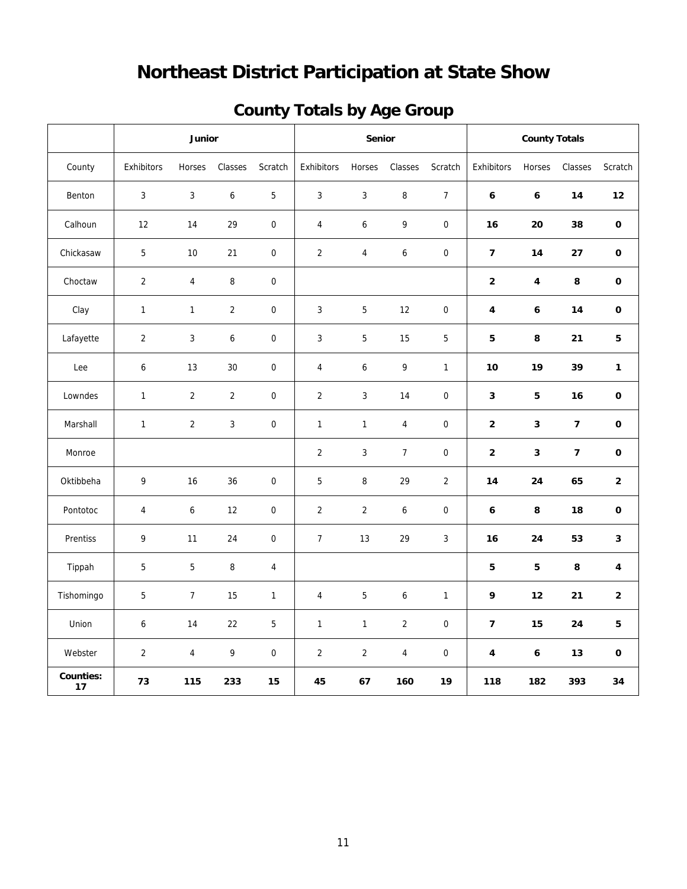# **Northeast District Participation at State Show**

| <b>County Totals by Age Group</b> |  |  |
|-----------------------------------|--|--|
|                                   |  |  |

|                        |                | Junior                  |                |                  |                | Senior           |                  |                  |                          | <b>County Totals</b> |                         |                |
|------------------------|----------------|-------------------------|----------------|------------------|----------------|------------------|------------------|------------------|--------------------------|----------------------|-------------------------|----------------|
| County                 | Exhibitors     | Horses                  | Classes        | Scratch          | Exhibitors     | Horses           | Classes          | Scratch          | Exhibitors               | Horses               | Classes                 | Scratch        |
| Benton                 | $\mathbf{3}$   | 3                       | 6              | $\mathbf 5$      | 3              | $\sqrt{3}$       | 8                | $\overline{7}$   | 6                        | 6                    | 14                      | 12             |
| Calhoun                | 12             | 14                      | 29             | $\boldsymbol{0}$ | 4              | $\boldsymbol{6}$ | 9                | $\pmb{0}$        | 16                       | 20                   | 38                      | $\mathbf 0$    |
| Chickasaw              | 5              | 10                      | 21             | $\mathbf 0$      | $\overline{2}$ | $\overline{4}$   | 6                | $\boldsymbol{0}$ | $\overline{7}$           | 14                   | 27                      | 0              |
| Choctaw                | $\overline{2}$ | $\overline{\mathbf{4}}$ | 8              | $\boldsymbol{0}$ |                |                  |                  |                  | $\bf 2$                  | 4                    | 8                       | $\mathbf 0$    |
| Clay                   | $\mathbf{1}$   | $\mathbf{1}$            | $\overline{a}$ | $\boldsymbol{0}$ | 3              | $\mathbf 5$      | 12               | $\boldsymbol{0}$ | 4                        | 6                    | 14                      | $\mathbf 0$    |
| Lafayette              | $\overline{2}$ | $\mathfrak{Z}$          | 6              | $\boldsymbol{0}$ | 3              | $\overline{5}$   | 15               | 5                | 5                        | 8                    | 21                      | 5              |
| Lee                    | 6              | 13                      | 30             | $\overline{0}$   | $\overline{4}$ | 6                | 9                | $\mathbf{1}$     | 10                       | 19                   | 39                      | $\mathbf{1}$   |
| Lowndes                | $\mathbf{1}$   | $\overline{2}$          | $\overline{a}$ | $\pmb{0}$        | $\overline{2}$ | 3                | 14               | $\pmb{0}$        | 3                        | 5                    | 16                      | $\mathbf 0$    |
| Marshall               | $\mathbf{1}$   | $\overline{2}$          | 3              | $\boldsymbol{0}$ | $\mathbf{1}$   | $\mathbf{1}$     | $\overline{4}$   | $\boldsymbol{0}$ | $\mathbf{2}$             | 3                    | $\overline{\mathbf{z}}$ | $\mathbf 0$    |
| Monroe                 |                |                         |                |                  | $\overline{2}$ | 3                | $\overline{7}$   | $\boldsymbol{0}$ | $\mathbf{2}$             | 3                    | $\overline{\mathbf{z}}$ | $\mathbf 0$    |
| Oktibbeha              | 9              | 16                      | 36             | $\mathbf 0$      | 5              | 8                | 29               | $\overline{2}$   | 14                       | 24                   | 65                      | $\overline{2}$ |
| Pontotoc               | $\overline{4}$ | 6                       | 12             | $\boldsymbol{0}$ | $\overline{2}$ | $\overline{2}$   | 6                | $\boldsymbol{0}$ | 6                        | 8                    | 18                      | $\mathbf 0$    |
| Prentiss               | 9              | 11                      | 24             | $\boldsymbol{0}$ | $\overline{7}$ | 13               | 29               | 3                | 16                       | 24                   | 53                      | 3              |
| Tippah                 | 5              | 5                       | 8              | $\overline{4}$   |                |                  |                  |                  | 5                        | ${\bf 5}$            | 8                       | 4              |
| Tishomingo             | 5              | $\overline{7}$          | 15             | $\mathbf{1}$     | 4              | $\sqrt{5}$       | $\boldsymbol{6}$ | $\mathbf{1}$     | 9                        | 12                   | 21                      | $\overline{2}$ |
| Union                  | 6              | 14                      | 22             | $\sqrt{5}$       | 1              | $\mathbf{1}$     | $\sqrt{2}$       | $\boldsymbol{0}$ | $\overline{\phantom{a}}$ | 15                   | 24                      | ${\bf 5}$      |
| Webster                | 2              | 4                       | 9              | $\boldsymbol{0}$ | $\overline{2}$ | $\overline{2}$   | $\overline{4}$   | $\boldsymbol{0}$ | 4                        | 6                    | 13                      | 0              |
| <b>Counties:</b><br>17 | 73             | 115                     | 233            | 15               | 45             | 67               | 160              | 19               | 118                      | 182                  | 393                     | 34             |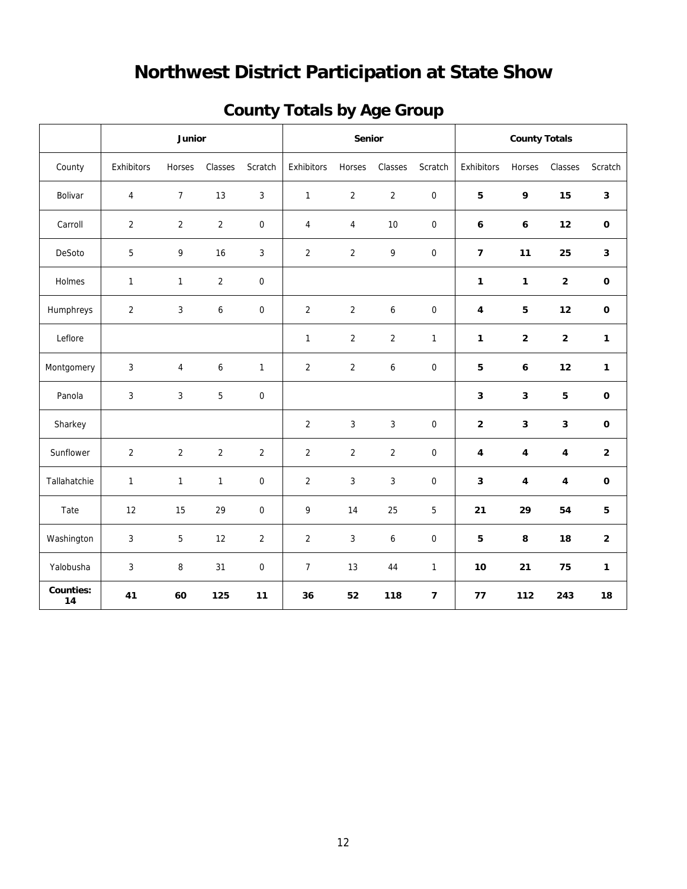# **Northwest District Participation at State Show**

| <b>County Totals by Age Group</b> |  |  |
|-----------------------------------|--|--|
|                                   |  |  |

|                        | Junior         |                |                | Senior           |                |                | <b>County Totals</b> |                  |                         |             |                         |                |
|------------------------|----------------|----------------|----------------|------------------|----------------|----------------|----------------------|------------------|-------------------------|-------------|-------------------------|----------------|
| County                 | Exhibitors     | Horses         | Classes        | Scratch          | Exhibitors     | Horses         | Classes              | Scratch          | Exhibitors              | Horses      | Classes                 | Scratch        |
| Bolivar                | 4              | $\overline{7}$ | 13             | 3                | $\mathbf{1}$   | $\overline{c}$ | $\overline{2}$       | $\boldsymbol{0}$ | 5                       | 9           | 15                      | $\mathbf{3}$   |
| Carroll                | $\overline{2}$ | $\overline{2}$ | $\overline{2}$ | 0                | $\overline{4}$ | $\overline{4}$ | 10                   | $\mathbf 0$      | 6                       | 6           | 12                      | $\mathbf 0$    |
| DeSoto                 | 5              | 9              | 16             | 3                | $\overline{2}$ | $\overline{2}$ | 9                    | $\boldsymbol{0}$ | $\overline{7}$          | 11          | 25                      | $\mathbf{3}$   |
| Holmes                 | $\mathbf{1}$   | $\mathbf{1}$   | $\overline{2}$ | 0                |                |                |                      |                  | 1                       | 1           | $\mathbf 2$             | $\mathbf 0$    |
| Humphreys              | $\overline{2}$ | 3              | 6              | 0                | $\overline{2}$ | $\overline{2}$ | 6                    | $\boldsymbol{0}$ | 4                       | 5           | 12                      | $\mathbf 0$    |
| Leflore                |                |                |                |                  | $\mathbf{1}$   | $\overline{c}$ | $\overline{2}$       | $\mathbf{1}$     | $\mathbf{1}$            | $\mathbf 2$ | $\overline{2}$          | $\mathbf 1$    |
| Montgomery             | $\mathbf{3}$   | 4              | 6              | $\mathbf{1}$     | $\sqrt{2}$     | $\overline{2}$ | 6                    | $\boldsymbol{0}$ | 5                       | 6           | 12                      | $\mathbf{1}$   |
| Panola                 | 3              | 3              | 5              | $\boldsymbol{0}$ |                |                |                      |                  | $\overline{\mathbf{3}}$ | 3           | 5                       | $\mathbf 0$    |
| Sharkey                |                |                |                |                  | $\sqrt{2}$     | $\mathbf{3}$   | $\mathbf{3}$         | $\boldsymbol{0}$ | $\mathbf{2}$            | 3           | $\mathbf{3}$            | $\mathbf 0$    |
| Sunflower              | $\overline{2}$ | $\overline{2}$ | $\overline{2}$ | $\overline{2}$   | $\overline{2}$ | $\overline{2}$ | $\overline{2}$       | $\mathbf 0$      | 4                       | 4           | $\overline{\mathbf{4}}$ | $\overline{2}$ |
| Tallahatchie           | $\mathbf{1}$   | $\mathbf{1}$   | $\mathbf{1}$   | 0                | $\overline{2}$ | $\mathfrak{Z}$ | 3                    | $\boldsymbol{0}$ | $\overline{\mathbf{3}}$ | 4           | 4                       | $\pmb{0}$      |
| Tate                   | 12             | 15             | 29             | 0                | 9              | 14             | 25                   | 5                | 21                      | 29          | 54                      | 5              |
| Washington             | 3              | 5              | 12             | $\overline{c}$   | $\sqrt{2}$     | $\mathfrak{Z}$ | 6                    | $\boldsymbol{0}$ | 5                       | 8           | 18                      | $\overline{2}$ |
| Yalobusha              | 3              | 8              | 31             | 0                | $\overline{7}$ | 13             | 44                   | $\mathbf{1}$     | 10                      | 21          | 75                      | 1              |
| <b>Counties:</b><br>14 | 41             | 60             | 125            | 11               | 36             | 52             | 118                  | $\overline{7}$   | 77                      | 112         | 243                     | 18             |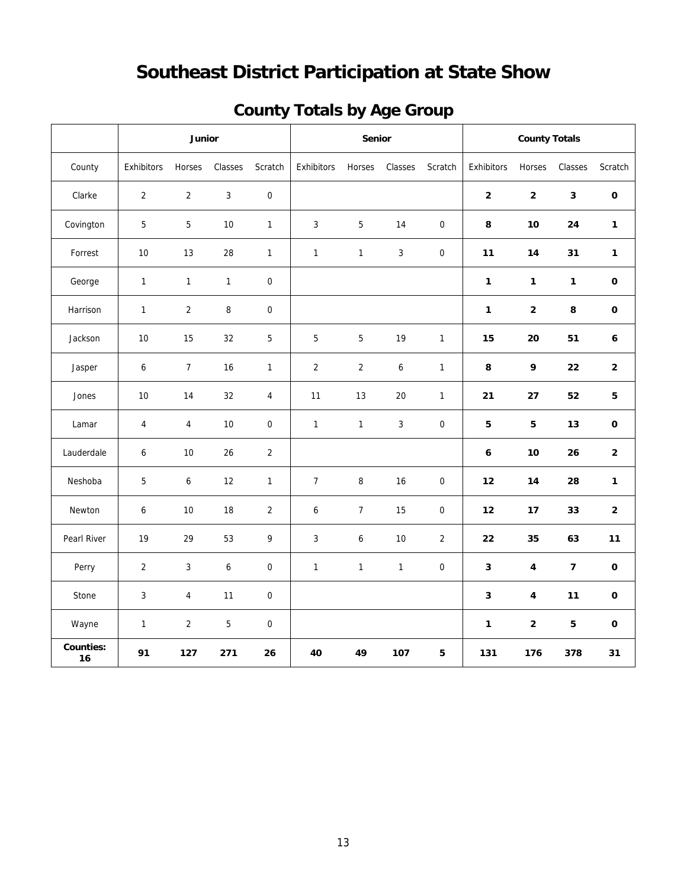# **Southeast District Participation at State Show**

|  | <b>County Totals by Age Group</b> |  |
|--|-----------------------------------|--|
|  |                                   |  |

|                        |                | Junior           |                  |                  |                  | Senior         |              |                  |                | <b>County Totals</b>    |                         |                 |
|------------------------|----------------|------------------|------------------|------------------|------------------|----------------|--------------|------------------|----------------|-------------------------|-------------------------|-----------------|
| County                 | Exhibitors     | Horses           | Classes          | Scratch          | Exhibitors       | Horses         | Classes      | Scratch          | Exhibitors     | Horses                  | Classes                 | Scratch         |
| Clarke                 | $\overline{2}$ | $\overline{2}$   | $\mathbf{3}$     | $\pmb{0}$        |                  |                |              |                  | $\overline{2}$ | $\overline{2}$          | $\overline{\mathbf{3}}$ | $\mathbf 0$     |
| Covington              | 5              | 5                | 10               | $\mathbf{1}$     | 3                | 5              | 14           | $\boldsymbol{0}$ | 8              | 10                      | 24                      | $\mathbf{1}$    |
| Forrest                | 10             | 13               | 28               | $\mathbf 1$      | $\mathbf{1}$     | $\mathbf{1}$   | $\sqrt{3}$   | $\boldsymbol{0}$ | 11             | 14                      | 31                      | $\mathbf{1}$    |
| George                 | $\mathbf{1}$   | $\mathbf{1}$     | $\mathbf{1}$     | $\boldsymbol{0}$ |                  |                |              |                  | $\mathbf{1}$   | $\mathbf{1}$            | $\mathbf{1}$            | $\mathbf 0$     |
| Harrison               | $\mathbf{1}$   | $\overline{2}$   | 8                | $\pmb{0}$        |                  |                |              |                  | $\mathbf{1}$   | $\mathbf 2$             | 8                       | $\mathbf 0$     |
| Jackson                | 10             | 15               | 32               | $\overline{5}$   | 5                | $\overline{5}$ | 19           | $\mathbf{1}$     | 15             | 20                      | 51                      | 6               |
| Jasper                 | 6              | $\boldsymbol{7}$ | 16               | $\mathbf{1}$     | $\sqrt{2}$       | $\overline{2}$ | 6            | $\mathbf{1}$     | 8              | 9                       | 22                      | $\mathbf 2$     |
| Jones                  | 10             | 14               | 32               | $\overline{4}$   | 11               | 13             | 20           | $\mathbf{1}$     | 21             | 27                      | 52                      | $5\phantom{.0}$ |
| Lamar                  | 4              | 4                | 10               | $\mathbf 0$      | $\mathbf{1}$     | $\mathbf{1}$   | 3            | $\mathbf 0$      | 5              | 5                       | 13                      | $\mathbf 0$     |
| Lauderdale             | 6              | 10               | 26               | $\overline{2}$   |                  |                |              |                  | 6              | 10                      | 26                      | $\mathbf 2$     |
| Neshoba                | 5              | 6                | 12               | $\mathbf{1}$     | $\boldsymbol{7}$ | 8              | 16           | $\boldsymbol{0}$ | 12             | 14                      | 28                      | $\mathbf{1}$    |
| Newton                 | 6              | 10               | 18               | $\sqrt{2}$       | 6                | $\overline{7}$ | 15           | $\mathbf 0$      | 12             | 17                      | 33                      | $\bf 2$         |
| Pearl River            | 19             | 29               | 53               | 9                | 3                | 6              | 10           | $\overline{2}$   | 22             | 35                      | 63                      | 11              |
| Perry                  | $\overline{2}$ | $\mathbf{3}$     | $\boldsymbol{6}$ | $\mathbf 0$      | $\mathbf{1}$     | $\mathbf{1}$   | $\mathbf{1}$ | $\boldsymbol{0}$ | $\mathbf{3}$   | 4                       | $\overline{7}$          | $\pmb{0}$       |
| Stone                  | 3              | 4                | 11               | $\boldsymbol{0}$ |                  |                |              |                  | $\mathbf{3}$   | $\overline{\mathbf{4}}$ | 11                      | $\pmb{0}$       |
| Wayne                  | $\mathbf{1}$   | $\sqrt{2}$       | $\sqrt{5}$       | $\boldsymbol{0}$ |                  |                |              |                  | $\mathbf{1}$   | $\mathbf 2$             | 5                       | $\mathbf 0$     |
| <b>Counties:</b><br>16 | 91             | 127              | 271              | 26               | 40               | 49             | 107          | 5                | 131            | 176                     | 378                     | 31              |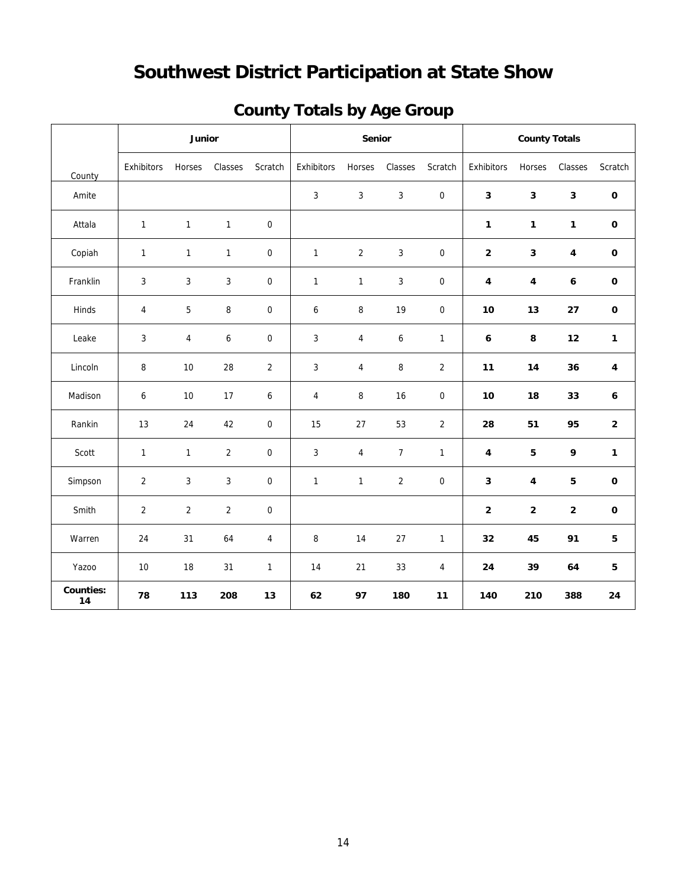# **Southwest District Participation at State Show**

| <b>County Totals by Age Group</b> |  |  |
|-----------------------------------|--|--|
|                                   |  |  |

|                        | Junior         |                |                |                  | Senior         |                |                | <b>County Totals</b> |              |              |              |              |
|------------------------|----------------|----------------|----------------|------------------|----------------|----------------|----------------|----------------------|--------------|--------------|--------------|--------------|
| County                 | Exhibitors     | Horses         | Classes        | Scratch          | Exhibitors     | Horses         | Classes        | Scratch              | Exhibitors   | Horses       | Classes      | Scratch      |
| Amite                  |                |                |                |                  | $\mathbf{3}$   | $\mathbf{3}$   | $\mathbf{3}$   | $\boldsymbol{0}$     | $\mathbf{3}$ | 3            | $\mathbf{3}$ | $\pmb{0}$    |
| Attala                 | $\mathbf{1}$   | $\mathbf{1}$   | $\mathbf{1}$   | $\boldsymbol{0}$ |                |                |                |                      | $\mathbf{1}$ | $\mathbf{1}$ | $\mathbf{1}$ | $\pmb{0}$    |
| Copiah                 | $\mathbf{1}$   | $\mathbf{1}$   | $\mathbf{1}$   | $\boldsymbol{0}$ | $\mathbf{1}$   | $\overline{2}$ | $\mathbf{3}$   | $\boldsymbol{0}$     | $\mathbf 2$  | $\mathbf 3$  | $\pmb{4}$    | $\mathbf 0$  |
| Franklin               | 3              | 3              | $\sqrt{3}$     | $\mathbf 0$      | $\mathbf{1}$   | $\mathbf{1}$   | 3              | $\mathbf 0$          | 4            | 4            | 6            | $\mathbf 0$  |
| Hinds                  | 4              | 5              | 8              | $\boldsymbol{0}$ | 6              | 8              | 19             | $\mathbf 0$          | 10           | 13           | 27           | $\mathbf 0$  |
| Leake                  | 3              | 4              | 6              | $\boldsymbol{0}$ | $\mathfrak{Z}$ | $\overline{4}$ | 6              | $\mathbf{1}$         | 6            | 8            | 12           | $\mathbf{1}$ |
| Lincoln                | $\, 8$         | 10             | 28             | $\overline{a}$   | 3              | $\pmb{4}$      | 8              | $\mathbf 2$          | 11           | 14           | 36           | $\pmb{4}$    |
| Madison                | 6              | 10             | 17             | 6                | $\overline{4}$ | 8              | 16             | $\boldsymbol{0}$     | $10\,$       | 18           | 33           | 6            |
| Rankin                 | 13             | 24             | 42             | $\mathbf 0$      | 15             | 27             | 53             | $\sqrt{2}$           | 28           | 51           | 95           | $\bf 2$      |
| Scott                  | $\mathbf{1}$   | $\mathbf{1}$   | $\overline{2}$ | $\boldsymbol{0}$ | $\mathbf{3}$   | $\overline{4}$ | $\overline{7}$ | $\mathbf{1}$         | 4            | 5            | 9            | $\mathbf{1}$ |
| Simpson                | $\overline{2}$ | $\mathbf{3}$   | $\mathbf{3}$   | $\boldsymbol{0}$ | $\mathbf{1}$   | $\mathbf{1}$   | $\overline{2}$ | $\boldsymbol{0}$     | $\mathbf{3}$ | 4            | 5            | $\mathbf 0$  |
| Smith                  | $\overline{2}$ | $\overline{2}$ | $\overline{2}$ | $\mathbf 0$      |                |                |                |                      | $\mathbf 2$  | $\mathbf 2$  | $\mathbf 2$  | $\pmb{0}$    |
| Warren                 | 24             | 31             | 64             | 4                | $\, 8$         | 14             | 27             | $\mathbf{1}$         | 32           | 45           | 91           | ${\bf 5}$    |
| Yazoo                  | 10             | 18             | 31             | $\mathbf{1}$     | 14             | 21             | 33             | $\overline{4}$       | 24           | 39           | 64           | 5            |
| <b>Counties:</b><br>14 | 78             | 113            | 208            | 13               | 62             | 97             | 180            | 11                   | 140          | 210          | 388          | 24           |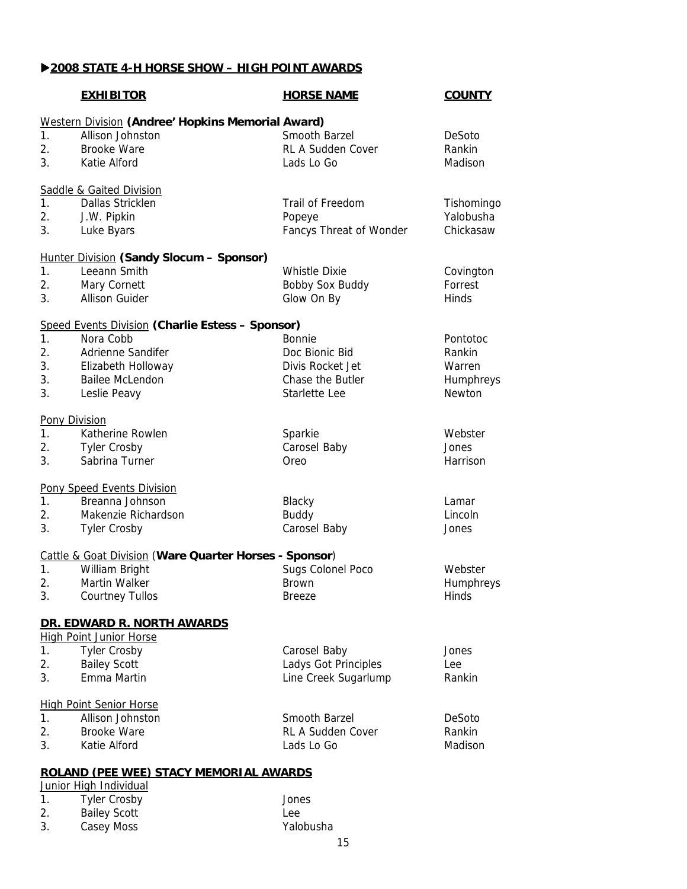## X**2008 STATE 4-H HORSE SHOW – HIGH POINT AWARDS**

|                                                                         | <b>EXHIBITOR</b>                                                                                                                                          | <b>HORSE NAME</b>                                                                 | <b>COUNTY</b>                                       |  |  |  |
|-------------------------------------------------------------------------|-----------------------------------------------------------------------------------------------------------------------------------------------------------|-----------------------------------------------------------------------------------|-----------------------------------------------------|--|--|--|
| $\mathbf{1}$ .<br>2.<br>3.                                              | Western Division (Andree' Hopkins Memorial Award)<br>Allison Johnston<br><b>Brooke Ware</b><br>Katie Alford                                               | Smooth Barzel<br><b>RL A Sudden Cover</b><br>Lads Lo Go                           | DeSoto<br>Rankin<br>Madison                         |  |  |  |
| 1.<br>2.<br>3.                                                          | <b>Saddle &amp; Gaited Division</b><br>Dallas Stricklen<br>J.W. Pipkin<br>Luke Byars                                                                      | Trail of Freedom<br>Popeye<br>Fancys Threat of Wonder                             | Tishomingo<br>Yalobusha<br>Chickasaw                |  |  |  |
| 1 <sub>1</sub><br>2.<br>3.                                              | Hunter Division (Sandy Slocum - Sponsor)<br>Leeann Smith<br>Mary Cornett<br><b>Allison Guider</b>                                                         | <b>Whistle Dixie</b><br><b>Bobby Sox Buddy</b><br>Glow On By                      | Covington<br>Forrest<br>Hinds                       |  |  |  |
| 1.<br>2.<br>3.<br>3.<br>3.                                              | <b>Speed Events Division (Charlie Estess - Sponsor)</b><br>Nora Cobb<br>Adrienne Sandifer<br>Elizabeth Holloway<br><b>Bailee McLendon</b><br>Leslie Peavy | Bonnie<br>Doc Bionic Bid<br>Divis Rocket Jet<br>Chase the Butler<br>Starlette Lee | Pontotoc<br>Rankin<br>Warren<br>Humphreys<br>Newton |  |  |  |
| 1 <sub>1</sub><br>2.<br>3.                                              | <b>Pony Division</b><br>Katherine Rowlen<br><b>Tyler Crosby</b><br>Sabrina Turner                                                                         | Sparkie<br>Carosel Baby<br>Oreo                                                   | Webster<br>Jones<br>Harrison                        |  |  |  |
| 1 <sub>1</sub><br>2.<br>3.                                              | Pony Speed Events Division<br>Breanna Johnson<br>Makenzie Richardson<br><b>Tyler Crosby</b>                                                               | Blacky<br><b>Buddy</b><br>Carosel Baby                                            | Lamar<br>Lincoln<br>Jones                           |  |  |  |
| 1.<br>2.<br>3.                                                          | <b>Cattle &amp; Goat Division (Ware Quarter Horses - Sponsor)</b><br>William Bright<br><b>Martin Walker</b><br><b>Courtney Tullos</b>                     | Sugs Colonel Poco<br><b>Brown</b><br><b>Breeze</b>                                | Webster<br>Humphreys<br>Hinds                       |  |  |  |
|                                                                         | DR. EDWARD R. NORTH AWARDS                                                                                                                                |                                                                                   |                                                     |  |  |  |
| 1.<br>2.<br>3.                                                          | <b>High Point Junior Horse</b><br><b>Tyler Crosby</b><br><b>Bailey Scott</b><br>Emma Martin                                                               | Carosel Baby<br>Ladys Got Principles<br>Line Creek Sugarlump                      | Jones<br>Lee<br>Rankin                              |  |  |  |
| 1.<br>2.<br>3.                                                          | <b>High Point Senior Horse</b><br>Allison Johnston<br><b>Brooke Ware</b><br>Katie Alford                                                                  | Smooth Barzel<br><b>RL A Sudden Cover</b><br>Lads Lo Go                           | DeSoto<br>Rankin<br>Madison                         |  |  |  |
| <b>ROLAND (PEE WEE) STACY MEMORIAL AWARDS</b><br>Junior High Individual |                                                                                                                                                           |                                                                                   |                                                     |  |  |  |
| 1.                                                                      | <b>Tyler Crosby</b>                                                                                                                                       | Jones                                                                             |                                                     |  |  |  |

| <b>Bailey Scott</b> | Lee       |
|---------------------|-----------|
| Casey Moss          | Yalobusha |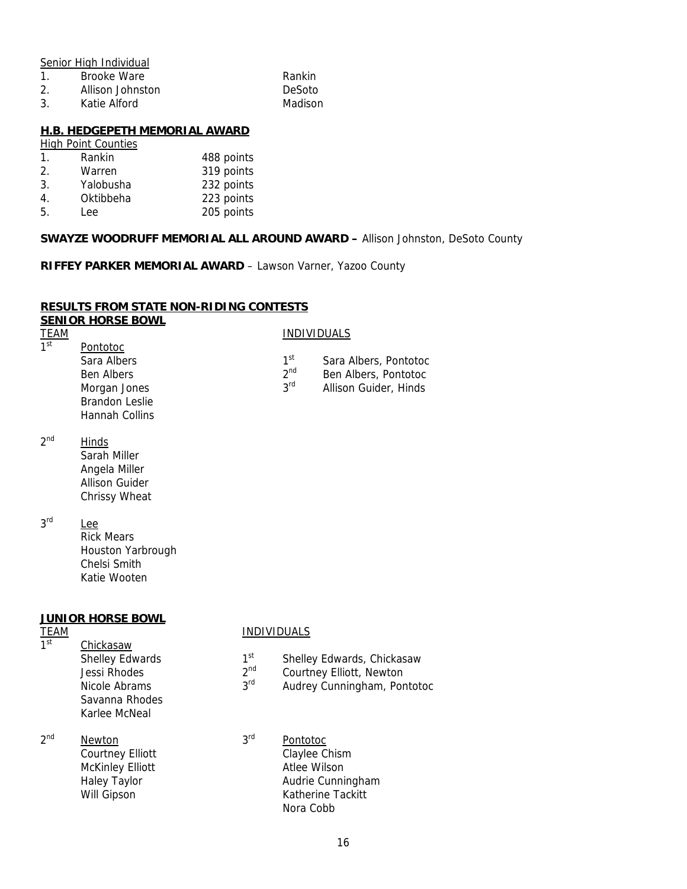Senior High Individual

- 1. Brooke Ware **Rankin**
- 2. Allison Johnston DeSoto
- 3. Katie Alford Madison

### **H.B. HEDGEPETH MEMORIAL AWARD**

## High Point Counties

| $\mathbf{1}$ .  | Rankin    | 488 points |
|-----------------|-----------|------------|
| $\mathcal{P}_1$ | Warren    | 319 points |
| $\mathbf{3}$ .  | Yalobusha | 232 points |
| 4.              | Oktibbeha | 223 points |
| 5.              | Lee       | 205 points |

### **SWAYZE WOODRUFF MEMORIAL ALL AROUND AWARD –** Allison Johnston, DeSoto County

**RIFFEY PARKER MEMORIAL AWARD** – Lawson Varner, Yazoo County

### **RESULTS FROM STATE NON-RIDING CONTESTS SENIOR HORSE BOWL**

| <b>TEAM</b>     |                       |                 | <b>INDIVIDUALS</b>    |
|-----------------|-----------------------|-----------------|-----------------------|
| 1 <sup>st</sup> | Pontotoc              |                 |                       |
|                 | Sara Albers           | 1 <sup>st</sup> | Sara Albers, Pontotoc |
|                 | <b>Ben Albers</b>     | 2 <sub>nd</sub> | Ben Albers, Pontotoc  |
|                 | Morgan Jones          | <b>2rd</b>      | Allison Guider, Hinds |
|                 | <b>Brandon Leslie</b> |                 |                       |
|                 | Hannah Collins        |                 |                       |

2<sup>nd</sup> Hinds

 Sarah Miller Angela Miller Allison Guider Chrissy Wheat

3<sup>rd</sup> Lee Rick Mears Houston Yarbrough Chelsi Smith Katie Wooten

### **JUNIOR HORSE BOWL**

Chickasaw

 Savanna Rhodes Karlee McNeal

# TEAM Chickasaw INDIVIDUALS

- Shelley Edwards 1st Shelley Edwards, Chickasaw<br>
1st Shelley Edwards, Chickasaw<br>
2nd Courtney Elliott. Newton
- Jessi Rhodes 2<sup>nd</sup> Courtney Elliott, Newton<br>Nicole Abrams 2<sup>rd</sup> Audrey Cunningham Por
- Nicole Abrams 3<sup>rd</sup> Audrey Cunningham, Pontotoc
- 2<sup>nd</sup> Newton 3<sup>rd</sup> Pontotoc
	- Courtney Elliott Claylee Chism McKinley Elliott **Atlee Wilson** Haley Taylor **Audrie Cunningham** Will Gipson **Katherine Tackitt** Nora Cobb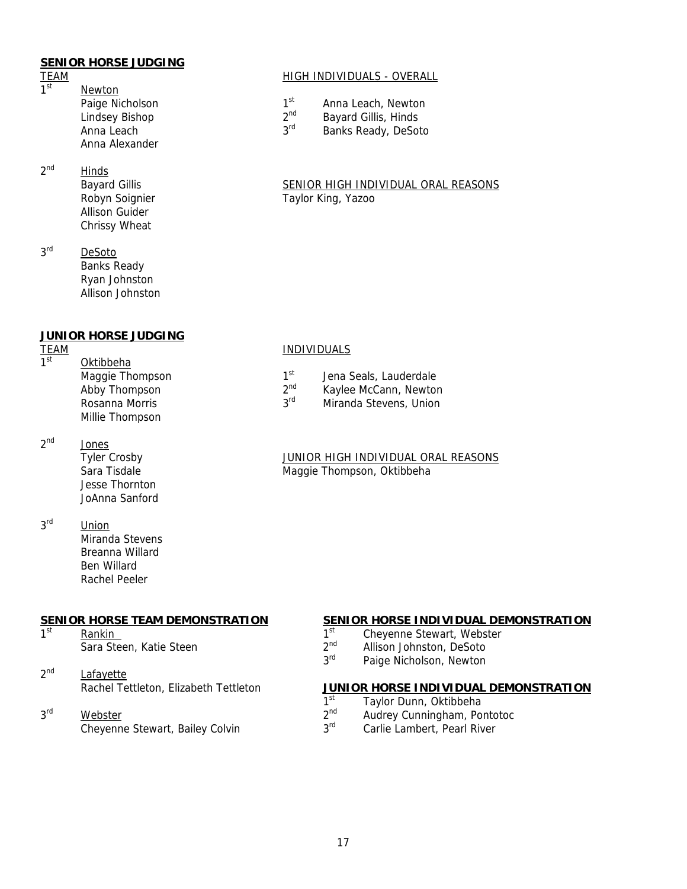## **SENIOR HORSE JUDGING**

- **Newton** Paige Nicholson 1st Anna Leach, Newton<br>
Lindsev Bishop 1st Anna Leach, Newton 2<sup>nd</sup> Bayard Cillie Hinds Lindsey Bishop 2<sup>nd</sup> Bayard Gillis, Hinds<br>Anna Leach 2<sup>rd</sup> Banks Ready, DeSo Anna Alexander
- 2<sup>nd</sup> Hinds Allison Guider Chrissy Wheat
- 3<sup>rd</sup> DeSoto Banks Ready Ryan Johnston Allison Johnston

### **JUNIOR HORSE JUDGING**

**Oktibbeha** Maggie Thompson  $1^{\text{st}}$  Jena Seals, Lauderdale<br>Abby Thompson  $2^{\text{nd}}$  Kaylee McCann, Newton Abby Thompson 2<sup>nd</sup> Kaylee McCann, Newton<br>Rosanna Morris 2<sup>rd</sup> Miranda Stevens, Union Millie Thompson

2<sup>nd</sup> Jones

- Jesse Thornton JoAnna Sanford
- 3<sup>rd</sup> Union Miranda Stevens Breanna Willard Ben Willard

1st Rankin 2nd Rankin 1st Cheyenne Stewart, Webster<br>
1st Cheyenne Stewart, Webster<br>
2<sup>nd</sup> Allison Johnston DeSoto

Rachel Peeler

2<sup>nd</sup> Paige Nicholson, Newton (2014)<br>2<sup>nd</sup> Paige Nicholson, Newton (2015) Lafayette<br>Rachel Tettleton, Elizabeth Tettleton

# $\frac{\text{Webster}}{\text{Chevenne}}$  2<sup>nd</sup> Audrey Cunningham, Pontotoc 2<sup>nd</sup> Audrey Cunningham, Pontotoc

# TEAM HIGH INDIVIDUALS - OVERALL

- 
- 
- Anna Leach 3<sup>rd</sup> Banks Ready, DeSoto

### Bayard Gillis SENIOR HIGH INDIVIDUAL ORAL REASONS Robyn Soignier **Taylor King, Yazoo**

# TEAM INDIVIDUALS

- 
- 
- Rosanna Morris **3<sup>rd</sup>** Miranda Stevens, Union

### Tyler Crosby JUNIOR HIGH INDIVIDUAL ORAL REASONS Sara Tisdale Maggie Thompson, Oktibbeha

## **SENIOR HORSE TEAM DEMONSTRATION SENIOR HORSE INDIVIDUAL DEMONSTRATION**

- 
- Sara Steen, Katie Steen 2nd  $2^{nd}$  Allison Johnston, DeSoto<br> $3^{rd}$  Paige Nicholson, Newton
	-

# **JUNIOR HORSE INDIVIDUAL DEMONSTRATION**

- 1st Taylor Dunn, Oktibbeha<br>1st Taylor Dunn, Oktibbeha<br>1st Audrey Cunningham, Po
	-
	- Cheyenne Stewart, Bailey Colvin 3rd Carlie Lambert, Pearl River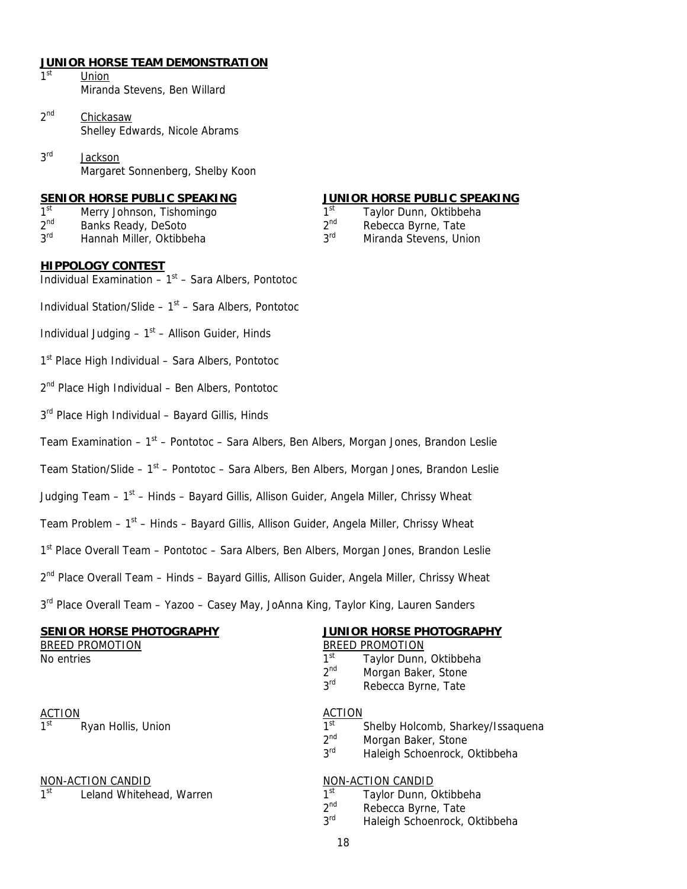# **JUNIOR HORSE TEAM DEMONSTRATION**

- Union Miranda Stevens, Ben Willard
- 2<sup>nd</sup> Chickasaw Shelley Edwards, Nicole Abrams
- 3<sup>rd</sup> Jackson Margaret Sonnenberg, Shelby Koon

- 1st Merry Johnson, Tishomingo 1st Taylor Dunn, Oktibbeha<br>2nd Banks Ready, DeSoto 1 2nd Rebecca Byrne, Tate
- 
- 

## **SENIOR HORSE PUBLIC SPEAKING JUNIOR HORSE PUBLIC SPEAKING**

- 
- Banks Ready, DeSoto 2<sup>nd</sup> Rebecca Byrne, Tate
- 3<sup>rd</sup> Hannah Miller, Oktibbeha 3<sup>rd</sup> Miranda Stevens, Union

### **HIPPOLOGY CONTEST**

- Individual Examination  $-1<sup>st</sup> -$  Sara Albers, Pontotoc
- Individual Station/Slide  $1<sup>st</sup>$  Sara Albers, Pontotoc
- Individual Judging  $-1<sup>st</sup> -$  Allison Guider, Hinds
- 1<sup>st</sup> Place High Individual Sara Albers, Pontotoc
- 2<sup>nd</sup> Place High Individual Ben Albers, Pontotoc
- 3<sup>rd</sup> Place High Individual Bayard Gillis, Hinds
- Team Examination  $1<sup>st</sup>$  Pontotoc Sara Albers, Ben Albers, Morgan Jones, Brandon Leslie
- Team Station/Slide  $1<sup>st</sup>$  Pontotoc Sara Albers, Ben Albers, Morgan Jones, Brandon Leslie
- Judging Team 1<sup>st</sup> Hinds Bayard Gillis, Allison Guider, Angela Miller, Chrissy Wheat
- Team Problem  $-1<sup>st</sup> Hinds Bayard Gillis, Allison Guide, Angela Miller, Christmas, Wheat$
- 1<sup>st</sup> Place Overall Team Pontotoc Sara Albers, Ben Albers, Morgan Jones, Brandon Leslie
- 2<sup>nd</sup> Place Overall Team Hinds Bayard Gillis, Allison Guider, Angela Miller, Chrissy Wheat
- 3<sup>rd</sup> Place Overall Team Yazoo Casey May, JoAnna King, Taylor King, Lauren Sanders

### **SENIOR HORSE PHOTOGRAPHY JUNIOR HORSE PHOTOGRAPHY**

BREED PROMOTION BREED PROMOTION

ACTION<br>
1<sup>st</sup> Ryan Hollis, Union<br>
1<sup>st</sup> 1<sup>st</sup>

NON-ACTION CANDID<br>
1<sup>st</sup> Leland Whitehead Warren Mark 1<sup>st</sup> Taylor Dunn C 1st Leland Whitehead, Warren  $1^{st}$  Taylor Dunn, Oktibbeha<br> $2^{nd}$  Rebecca Byrne Tate

- No entries  $1^{\text{st}}$  Taylor Dunn, Oktibbeha<br> $2^{\text{nd}}$  Morgan Baker. Stone
	- $2<sup>nd</sup>$  Morgan Baker, Stone<br> $3<sup>rd</sup>$  Rebecca Byrne, Tate
	- Rebecca Byrne, Tate

- 1st Ryan Hollis, Union 1st Shelby Holcomb, Sharkey/Issaquena<br>2nd Morgan Baker, Stone
	- $2<sup>nd</sup>$  Morgan Baker, Stone<br> $3<sup>rd</sup>$  Haleigh Schoenrock
	- Haleigh Schoenrock, Oktibbeha

- 
- $2<sup>nd</sup>$  Rebecca Byrne, Tate<br> $3<sup>rd</sup>$  Haleigh Schoenrock
- Haleigh Schoenrock, Oktibbeha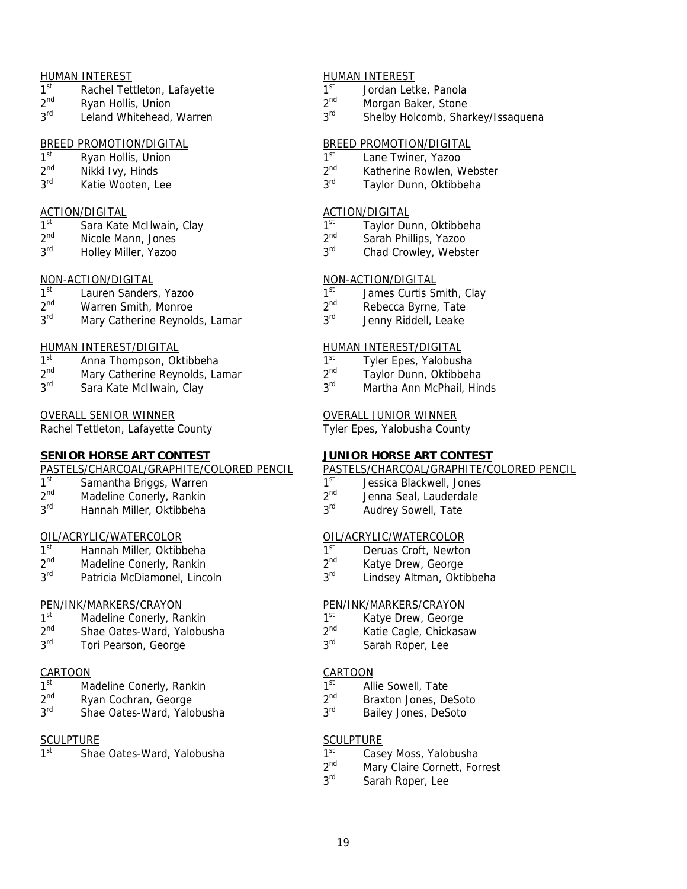- $1^{\text{st}}$  Rachel Tettleton, Lafayette  $1^{\text{st}}$  Jordan Letke, Panola<br>  $2^{\text{nd}}$  Ryan Hollis, Union  $2^{\text{nd}}$  Morgan Baker. Stone
- $2^{nd}$  Ryan Hollis, Union 2nd 2<sup>nd</sup> Morgan Baker, Stone 2<sup>nd</sup> Ryan Hollis, Union 2nd 2<sup>nd</sup> Shelby Holcomb Shai
- 

- 
- 
- 

- ACTION/DIGITAL ACTION/DIGITAL
- 
- 

- 
- 2<sup>nd</sup> Warren Smith, Monroe 2nd 2<sup>nd</sup> Rebecca Byrne, Tate<br>3<sup>rd</sup> Mary Catherine Reynolds. Lamar 2.3<sup>rd</sup> Jenny Riddell Teake
- Mary Catherine Reynolds, Lamar 3<sup>rd</sup> Jenny Riddell, Leake

## HUMAN INTEREST/DIGITAL THE HUMAN INTEREST/DIGITAL

- 1st Anna Thompson, Oktibbeha 1st 1st Tyler Epes, Yalobusha
- $2^{nd}$  Mary Catherine Reynolds, Lamar  $2^{nd}$  Taylor Dunn, Oktibbeha<br>  $3^{rd}$  Sara Kate McIlwain, Clay  $3^{rd}$  Martha Ann McPhail. Hir
- 

### OVERALL SENIOR WINNER **COVERALL SENIOR WINNER**

Rachel Tettleton, Lafayette County Tyler Epes, Yalobusha County

### **SENIOR HORSE ART CONTEST JUNIOR HORSE ART CONTEST**

# **PASTELS/CHARCOAL/GRAPHITE/COLORED PENCIL PASTELS/CHARCOAL/GRAPHITE/COLORED PENCIL**<br>1<sup>st</sup> Samantha Briggs, Warren 1<sup>st</sup> Jessica Blackwell, Jones

- $2^{\text{nd}}$  Samantha Briggs, Warren  $2^{\text{nd}}$  Jessica Blackwell, Jones  $2^{\text{nd}}$  Jenna Seal, Lauderdale
- $2^{\text{nd}}$  Madeline Conerly, Rankin  $2^{\text{nd}}$  Jenna Seal, Lauderdale  $3^{\text{rd}}$  Hannah Miller Oktibbeha
- 

- 1st 1st Hannah Miller, Oktibbeha 1st 1st Deruas Croft, Newton<br>2<sup>nd</sup> Madeline Conerly, Rankin 1st 2<sup>nd</sup> Katve Drew, George
- 2nd Madeline Conerly, Rankin 2nd Katye Drew, George
- 

- $1^{\text{st}}$  Madeline Conerly, Rankin  $1^{\text{st}}$  Katye Drew, George  $2^{\text{nd}}$  Katie Cagle Chickasa
- $2<sup>nd</sup>$  Shae Oates-Ward, Yalobusha  $2<sup>nd</sup>$  Katie Cagle, Chickasaw  $3<sup>rd</sup>$  Sarah Roper Tee
- 

- $1^{\text{st}}$  Madeline Conerly, Rankin  $2^{\text{nd}}$  allie Sowell, Tate  $2^{\text{nd}}$  allie Sowell, Tate  $2^{\text{nd}}$  araxton Jones. Dependence of the  $2^{\text{nd}}$  araxton Jones. Dependence of the  $2^{\text{nd}}$  araxton Jones. Dependence of the
- 2<sup>nd</sup> Ryan Cochran, George 2nd 2<sup>nd</sup> Braxton Jones, DeSoto<br>3<sup>rd</sup> Shae Oates-Ward Yalobusha 2<sup>rd</sup> Bailey Jones DeSoto
- 

1st Shae Oates-Ward, Yalobusha 1st Casey Moss, Yalobusha

### HUMAN INTEREST HUMAN INTEREST

- 
- 
- Leland Whitehead, Warren 3<sup>rd</sup> Shelby Holcomb, Sharkey/Issaquena

# BREED PROMOTION/DIGITAL BREED PROMOTION/DIGITAL<br>1<sup>st</sup> Ryan Hollis, Union and BREED PROMOTION/DIGITAL

- $1^{\text{st}}$  Ryan Hollis, Union 1st Lane Twiner, Yazoo<br>  $2^{\text{nd}}$  Nikki Ivv. Hinds 1st 2<sup>nd</sup> Katherine Rowlen V
- $2^{\text{nd}}$  Nikki Ivy, Hinds 2nd 2<sup>nd</sup> Katherine Rowlen, Webster 2<sup>rd</sup> Katherine Rowlen, Webster 2<sup>rd</sup> Katherine Rowlen, Webster
	- Katie Wooten, Lee 3<sup>rd</sup> Taylor Dunn, Oktibbeha

- Sara Kate McIlwain, Clay 1st 1st Taylor Dunn, Oktibbeha
- $2^{nd}$  Nicole Mann, Jones 2nd Sarah Phillips, Yazoo  $3^{rd}$  Sarah Phillips, Yazoo 3<sup>rd</sup> Chad Crowley. Webst
	- Holley Miller, Yazoo 3rd Chad Crowley, Webster

### NON-ACTION/DIGITAL NON-ACTION/DIGITAL

- $1^{\text{st}}$  Lauren Sanders, Yazoo  $1^{\text{st}}$  James Curtis Smith, Clay  $2^{\text{nd}}$  Warren Smith. Monroe  $2^{\text{nd}}$  Reherra Byrne Tate
	-
	-

- 
- 
- Sara Kate McIlwain, Clay 3rd Martha Ann McPhail, Hinds

- 
- 
- Hannah Miller, Oktibbeha 3<sup>rd</sup> Audrey Sowell, Tate

## OIL/ACRYLIC/WATERCOLOR OIL/ACRYLIC/WATERCOLOR

- 
- 
- Patricia McDiamonel, Lincoln 3<sup>rd</sup> Lindsey Altman, Oktibbeha

# PEN/INK/MARKERS/CRAYON<br>
1<sup>st</sup> Madeline Conerly Rankin<br>
1<sup>st</sup> Katye Drew George

- 
- 
- Tori Pearson, George 3rd Sarah Roper, Lee

### CARTOON CARTOON

- 
- 
- Shae Oates-Ward, Yalobusha  $3<sup>rd</sup>$  Bailey Jones, DeSoto

## SCULPTURE SCULPTURE

- 
- $2<sup>nd</sup>$  Mary Claire Cornett, Forrest<br> $3<sup>rd</sup>$  Sarah Roper Lee
- Sarah Roper, Lee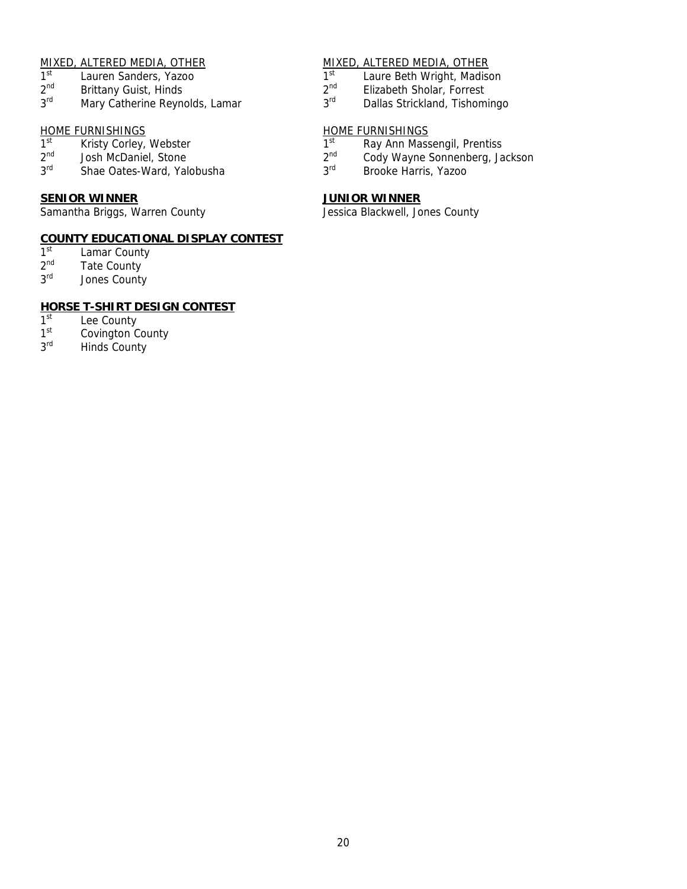- 
- 
- $2^{nd}$  Brittany Guist, Hinds  $2^{nd}$  Elizabeth Sholar, Forrest  $3^{rd}$  Elizabeth Sholar, Forrest  $3^{rd}$  Dallas Strickland, Tishom

# HOME FURNISHINGS HOME FURNISHINGS

- 
- 
- 

## **SENIOR WINNER JUNIOR WINNER**

Samantha Briggs, Warren County **County County Access** Jessica Blackwell, Jones County

## **COUNTY EDUCATIONAL DISPLAY CONTEST**

- $1<sup>st</sup>$  Lamar County<br> $2<sup>nd</sup>$  Tate County
- $2<sup>nd</sup>$  Tate County<br> $3<sup>rd</sup>$  Jones County
- Jones County

# **HORSE T-SHIRT DESIGN CONTEST**<br>1<sup>st</sup> Lee County

- 1<sup>st</sup> Lee County<br>1<sup>st</sup> Covington C
- $1<sup>st</sup>$  Covington County<br> $3<sup>rd</sup>$  Hinds County
- Hinds County

# MIXED, ALTERED MEDIA, OTHER<br>
1<sup>st</sup> Lauren Sanders. Yazoo Martin (1) 1<sup>st</sup> Laure Beth Wright. Madison

- 1st Lauren Sanders, Yazoo 15 and 1st Laure Beth Wright, Madison 2<sup>nd</sup> Elizabeth Sholar, Forrest 2nd 2nd 2nd 2nd Elizabeth Sholar, Forrest
	-
	- Mary Catherine Reynolds, Lamar 3<sup>rd</sup> Dallas Strickland, Tishomingo

- 1st Kristy Corley, Webster 1st Ray Ann Massengil, Prentiss
- $2^{nd}$  Josh McDaniel, Stone 2nd 2<sup>nd</sup> Cody Wayne Sonnenberg, Jackson 3<sup>rd</sup> Shae Oates-Ward, Yalobusha 2<sup>rd</sup> Brooke Harris, Yazoo
	- Shae Oates-Ward, Yalobusha 3<sup>rd</sup> Brooke Harris, Yazoo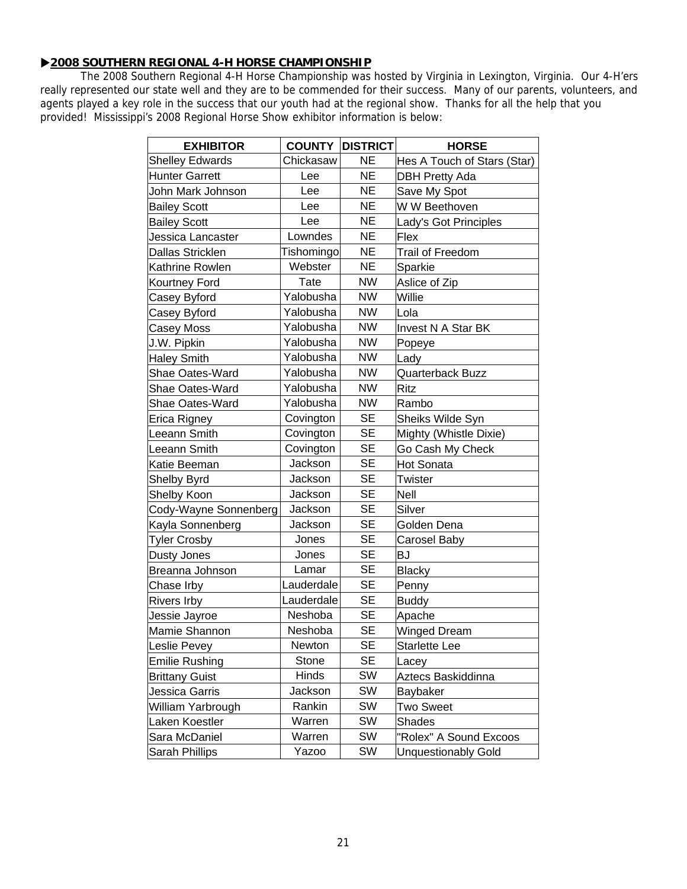## X**2008 SOUTHERN REGIONAL 4-H HORSE CHAMPIONSHIP**

The 2008 Southern Regional 4-H Horse Championship was hosted by Virginia in Lexington, Virginia. Our 4-H'ers really represented our state well and they are to be commended for their success. Many of our parents, volunteers, and agents played a key role in the success that our youth had at the regional show. Thanks for all the help that you provided! Mississippi's 2008 Regional Horse Show exhibitor information is below:

| <b>EXHIBITOR</b>        |            | <b>COUNTY DISTRICT</b> | <b>HORSE</b>                |  |
|-------------------------|------------|------------------------|-----------------------------|--|
| <b>Shelley Edwards</b>  | Chickasaw  | <b>NE</b>              | Hes A Touch of Stars (Star) |  |
| <b>Hunter Garrett</b>   | Lee        | <b>NE</b>              | <b>DBH Pretty Ada</b>       |  |
| John Mark Johnson       | Lee        | <b>NE</b>              | Save My Spot                |  |
| <b>Bailey Scott</b>     | Lee        | <b>NE</b>              | W W Beethoven               |  |
| <b>Bailey Scott</b>     | Lee        | <b>NE</b>              | Lady's Got Principles       |  |
| Jessica Lancaster       | Lowndes    | <b>NE</b>              | Flex                        |  |
| <b>Dallas Stricklen</b> | Tishomingo | <b>NE</b>              | <b>Trail of Freedom</b>     |  |
| Kathrine Rowlen         | Webster    | <b>NE</b>              | Sparkie                     |  |
| Kourtney Ford           | Tate       | <b>NW</b>              | Aslice of Zip               |  |
| Casey Byford            | Yalobusha  | <b>NW</b>              | Willie                      |  |
| Casey Byford            | Yalobusha  | <b>NW</b>              | Lola                        |  |
| Casey Moss              | Yalobusha  | <b>NW</b>              | <b>Invest N A Star BK</b>   |  |
| J.W. Pipkin             | Yalobusha  | <b>NW</b>              | Popeye                      |  |
| <b>Haley Smith</b>      | Yalobusha  | <b>NW</b>              | Lady                        |  |
| Shae Oates-Ward         | Yalobusha  | <b>NW</b>              | Quarterback Buzz            |  |
| Shae Oates-Ward         | Yalobusha  | <b>NW</b>              | Ritz                        |  |
| <b>Shae Oates-Ward</b>  | Yalobusha  | <b>NW</b>              | Rambo                       |  |
| Erica Rigney            | Covington  | <b>SE</b>              | Sheiks Wilde Syn            |  |
| Leeann Smith            | Covington  | <b>SE</b>              | Mighty (Whistle Dixie)      |  |
| Leeann Smith            | Covington  | <b>SE</b>              | Go Cash My Check            |  |
| Katie Beeman            | Jackson    | <b>SE</b>              | <b>Hot Sonata</b>           |  |
| <b>Shelby Byrd</b>      | Jackson    | <b>SE</b>              | Twister                     |  |
| Shelby Koon             | Jackson    | <b>SE</b>              | <b>Nell</b>                 |  |
| Cody-Wayne Sonnenberg   | Jackson    | <b>SE</b>              | Silver                      |  |
| Kayla Sonnenberg        | Jackson    | <b>SE</b>              | Golden Dena                 |  |
| <b>Tyler Crosby</b>     | Jones      | <b>SE</b>              | Carosel Baby                |  |
| Dusty Jones             | Jones      | <b>SE</b>              | BJ                          |  |
| Breanna Johnson         | Lamar      | <b>SE</b>              | <b>Blacky</b>               |  |
| Chase Irby              | Lauderdale | <b>SE</b>              | Penny                       |  |
| <b>Rivers Irby</b>      | Lauderdale | <b>SE</b>              | <b>Buddy</b>                |  |
| Jessie Jayroe           | Neshoba    | <b>SE</b>              | Apache                      |  |
| Mamie Shannon           | Neshoba    | <b>SE</b>              | Winged Dream                |  |
| Leslie Pevey            | Newton     | <b>SE</b>              | <b>Starlette Lee</b>        |  |
| <b>Emilie Rushing</b>   | Stone      | <b>SE</b>              | Lacey                       |  |
| <b>Brittany Guist</b>   | Hinds      | SW                     | Aztecs Baskiddinna          |  |
| Jessica Garris          | Jackson    | SW                     | Baybaker                    |  |
| William Yarbrough       | Rankin     | SW                     | Two Sweet                   |  |
| Laken Koestler          | Warren     | SW                     | <b>Shades</b>               |  |
| Sara McDaniel           | Warren     | SW                     | "Rolex" A Sound Excoos      |  |
| Sarah Phillips          | Yazoo      | SW                     | <b>Unquestionably Gold</b>  |  |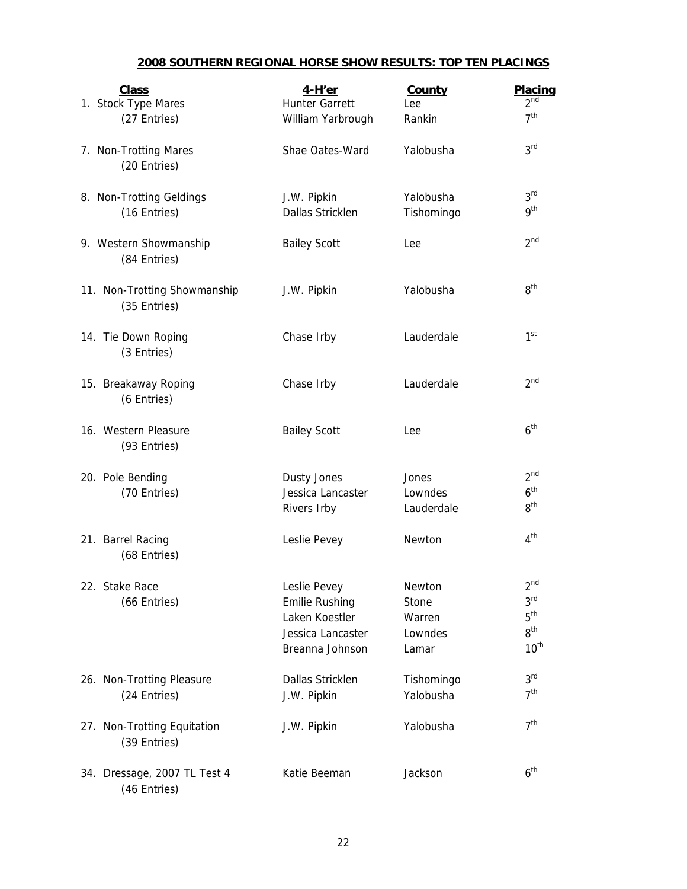## **2008 SOUTHERN REGIONAL HORSE SHOW RESULTS: TOP TEN PLACINGS**

| <b>Class</b>                 | $4-H'er$              | County     | Placing                            |
|------------------------------|-----------------------|------------|------------------------------------|
| 1. Stock Type Mares          | <b>Hunter Garrett</b> | Lee        | 2 <sup>nd</sup><br>7 <sup>th</sup> |
| (27 Entries)                 | William Yarbrough     | Rankin     |                                    |
| 7. Non-Trotting Mares        | Shae Oates-Ward       | Yalobusha  | 3 <sup>rd</sup>                    |
| (20 Entries)                 |                       |            |                                    |
| 8. Non-Trotting Geldings     | J.W. Pipkin           | Yalobusha  | 3 <sup>rd</sup>                    |
| (16 Entries)                 | Dallas Stricklen      | Tishomingo | gth                                |
| 9. Western Showmanship       | <b>Bailey Scott</b>   | Lee        | 2 <sup>nd</sup>                    |
| (84 Entries)                 |                       |            |                                    |
| 11. Non-Trotting Showmanship | J.W. Pipkin           | Yalobusha  | 8 <sup>th</sup>                    |
| (35 Entries)                 |                       |            |                                    |
| 14. Tie Down Roping          | Chase Irby            | Lauderdale | 1 <sup>st</sup>                    |
| (3 Entries)                  |                       |            |                                    |
| 15. Breakaway Roping         | Chase Irby            | Lauderdale | 2 <sup>nd</sup>                    |
| (6 Entries)                  |                       |            |                                    |
| 16. Western Pleasure         | <b>Bailey Scott</b>   | Lee        | 6 <sup>th</sup>                    |
| (93 Entries)                 |                       |            |                                    |
| 20. Pole Bending             | Dusty Jones           | Jones      | 2 <sup>nd</sup>                    |
| (70 Entries)                 | Jessica Lancaster     | Lowndes    | 6 <sup>th</sup>                    |
|                              | Rivers Irby           | Lauderdale | 8 <sup>th</sup>                    |
| 21. Barrel Racing            | Leslie Pevey          | Newton     | 4 <sup>th</sup>                    |
| (68 Entries)                 |                       |            |                                    |
| 22. Stake Race               | Leslie Pevey          | Newton     | $2^{nd}$                           |
| (66 Entries)                 | <b>Emilie Rushing</b> | Stone      | 3 <sup>rd</sup>                    |
|                              | Laken Koestler        | Warren     | 5 <sup>th</sup>                    |
|                              | Jessica Lancaster     | Lowndes    | 8 <sup>th</sup>                    |
|                              | Breanna Johnson       | Lamar      | 10 <sup>th</sup>                   |
| 26. Non-Trotting Pleasure    | Dallas Stricklen      | Tishomingo | 3 <sup>rd</sup>                    |
| (24 Entries)                 | J.W. Pipkin           | Yalobusha  | 7 <sup>th</sup>                    |
| 27. Non-Trotting Equitation  | J.W. Pipkin           | Yalobusha  | 7 <sup>th</sup>                    |
| (39 Entries)                 |                       |            |                                    |
| 34. Dressage, 2007 TL Test 4 | Katie Beeman          | Jackson    | 6 <sup>th</sup>                    |
| (46 Entries)                 |                       |            |                                    |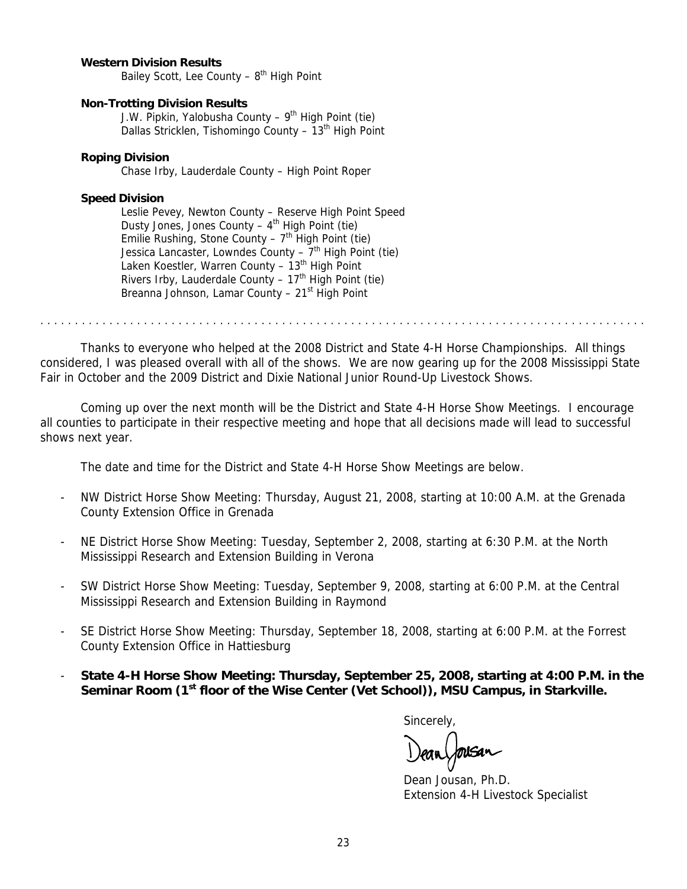### **Western Division Results**

Bailey Scott, Lee County  $-8$ <sup>th</sup> High Point

### **Non-Trotting Division Results**

J.W. Pipkin, Yalobusha County –  $9<sup>th</sup>$  High Point (tie) Dallas Stricklen, Tishomingo County - 13<sup>th</sup> High Point

### **Roping Division**

Chase Irby, Lauderdale County – High Point Roper

### **Speed Division**

 Leslie Pevey, Newton County – Reserve High Point Speed Dusty Jones, Jones County – 4<sup>th</sup> High Point (tie) Emilie Rushing, Stone County –  $7<sup>th</sup>$  High Point (tie) Jessica Lancaster, Lowndes County  $-7<sup>th</sup>$  High Point (tie) Laken Koestler, Warren County -  $13<sup>th</sup>$  High Point Rivers Irby, Lauderdale County –  $17<sup>th</sup>$  High Point (tie) Breanna Johnson, Lamar County  $-21<sup>st</sup>$  High Point

. . . . . . . . . . . . . . . . . . . . . . . . . . . . . . . . . . . . . . . . . . . . . . . . . . . . . . . . . . . . . . . . . . . . . . . . . . . . . . . . . . . . . . . .

 Thanks to everyone who helped at the 2008 District and State 4-H Horse Championships. All things considered, I was pleased overall with all of the shows. We are now gearing up for the 2008 Mississippi State Fair in October and the 2009 District and Dixie National Junior Round-Up Livestock Shows.

Coming up over the next month will be the District and State 4-H Horse Show Meetings. I encourage all counties to participate in their respective meeting and hope that all decisions made will lead to successful shows next year.

The date and time for the District and State 4-H Horse Show Meetings are below.

- NW District Horse Show Meeting: Thursday, August 21, 2008, starting at 10:00 A.M. at the Grenada County Extension Office in Grenada
- NE District Horse Show Meeting: Tuesday, September 2, 2008, starting at 6:30 P.M. at the North Mississippi Research and Extension Building in Verona
- SW District Horse Show Meeting: Tuesday, September 9, 2008, starting at 6:00 P.M. at the Central Mississippi Research and Extension Building in Raymond
- SE District Horse Show Meeting: Thursday, September 18, 2008, starting at 6:00 P.M. at the Forrest County Extension Office in Hattiesburg
- **State 4-H Horse Show Meeting: Thursday, September 25, 2008, starting at 4:00 P.M. in the Seminar Room (1st floor of the Wise Center (Vet School)), MSU Campus, in Starkville.**

Sincerely,

Dean Jousan, Ph.D. Extension 4-H Livestock Specialist